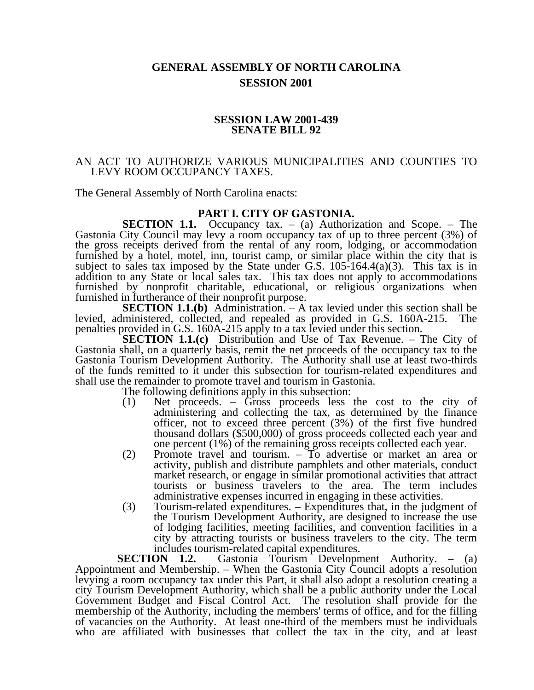# **GENERAL ASSEMBLY OF NORTH CAROLINA SESSION 2001**

### **SESSION LAW 2001-439 SENATE BILL 92**

### AN ACT TO AUTHORIZE VARIOUS MUNICIPALITIES AND COUNTIES TO LEVY ROOM OCCUPANCY TAXES.

The General Assembly of North Carolina enacts:

## **PART I. CITY OF GASTONIA.**

**SECTION 1.1.** Occupancy tax. – (a) Authorization and Scope. – The Gastonia City Council may levy a room occupancy tax of up to three percent (3%) of the gross receipts derived from the rental of any room, lodging, or accommodation furnished by a hotel, motel, inn, tourist camp, or similar place within the city that is subject to sales tax imposed by the State under G.S.  $105-164.4(a)(3)$ . This tax is in addition to any State or local sales tax. This tax does not apply to accommodations furnished by nonprofit charitable, educational, or religious organizations when furnished in furtherance of their nonprofit purpose.

**SECTION 1.1.(b)** Administration. – A tax levied under this section shall be levied, administered, collected, and repealed as provided in G.S. 160A-215. The penalties provided in G.S. 160A-215 apply to a tax levied under this section.

**SECTION 1.1.(c)** Distribution and Use of Tax Revenue. – The City of Gastonia shall, on a quarterly basis, remit the net proceeds of the occupancy tax to the Gastonia Tourism Development Authority. The Authority shall use at least two-thirds of the funds remitted to it under this subsection for tourism-related expenditures and shall use the remainder to promote travel and tourism in Gastonia.

The following definitions apply in this subsection:

- (1) Net proceeds. Gross proceeds less the cost to the city of administering and collecting the tax, as determined by the finance officer, not to exceed three percent (3%) of the first five hundred thousand dollars (\$500,000) of gross proceeds collected each year and one percent (1%) of the remaining gross receipts collected each year.
- (2) Promote travel and tourism. To advertise or market an area or activity, publish and distribute pamphlets and other materials, conduct market research, or engage in similar promotional activities that attract tourists or business travelers to the area. The term includes administrative expenses incurred in engaging in these activities.
- (3) Tourism-related expenditures. Expenditures that, in the judgment of the Tourism Development Authority, are designed to increase the use of lodging facilities, meeting facilities, and convention facilities in a city by attracting tourists or business travelers to the city. The term includes tourism-related capital expenditures.

**SECTION 1.2.** Gastonia Tourism Development Authority. – (a) Appointment and Membership. – When the Gastonia City Council adopts a resolution levying a room occupancy tax under this Part, it shall also adopt a resolution creating a city Tourism Development Authority, which shall be a public authority under the Local Government Budget and Fiscal Control Act. The resolution shall provide for the membership of the Authority, including the members' terms of office, and for the filling of vacancies on the Authority. At least one-third of the members must be individuals who are affiliated with businesses that collect the tax in the city, and at least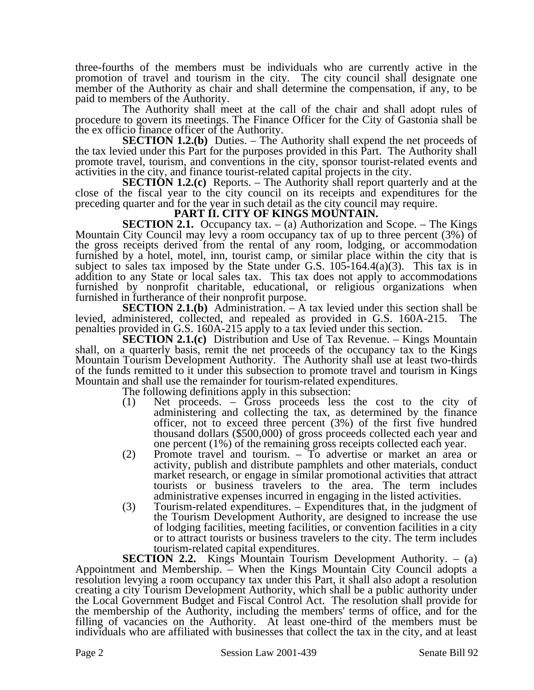three-fourths of the members must be individuals who are currently active in the promotion of travel and tourism in the city. The city council shall designate one member of the Authority as chair and shall determine the compensation, if any, to be paid to members of the Authority.

The Authority shall meet at the call of the chair and shall adopt rules of procedure to govern its meetings. The Finance Officer for the City of Gastonia shall be the ex officio finance officer of the Authority.

**SECTION 1.2.(b)** Duties. – The Authority shall expend the net proceeds of the tax levied under this Part for the purposes provided in this Part. The Authority shall promote travel, tourism, and conventions in the city, sponsor tourist-related events and activities in the city, and finance tourist-related capital projects in the city.

**SECTION 1.2.(c)** Reports. – The Authority shall report quarterly and at the close of the fiscal year to the city council on its receipts and expenditures for the preceding quarter and for the year in such detail as the city council may require.

## **PART II. CITY OF KINGS MOUNTAIN.**

**SECTION 2.1.** Occupancy tax.  $-$  (a) Authorization and Scope.  $-$  The Kings Mountain City Council may levy a room occupancy tax of up to three percent (3%) of the gross receipts derived from the rental of any room, lodging, or accommodation furnished by a hotel, motel, inn, tourist camp, or similar place within the city that is subject to sales tax imposed by the State under G.S.  $105-164.4(a)(3)$ . This tax is in addition to any State or local sales tax. This tax does not apply to accommodations furnished by nonprofit charitable, educational, or religious organizations when furnished in furtherance of their nonprofit purpose.

**SECTION 2.1.(b)** Administration. – A tax levied under this section shall be levied, administered, collected, and repealed as provided in G.S. 160A-215. The penalties provided in G.S. 160A-215 apply to a tax levied under this section.

**SECTION 2.1.(c)** Distribution and Use of Tax Revenue. – Kings Mountain shall, on a quarterly basis, remit the net proceeds of the occupancy tax to the Kings Mountain Tourism Development Authority. The Authority shall use at least two-thirds of the funds remitted to it under this subsection to promote travel and tourism in Kings Mountain and shall use the remainder for tourism-related expenditures.

The following definitions apply in this subsection:

- (1) Net proceeds. Gross proceeds less the cost to the city of administering and collecting the tax, as determined by the finance officer, not to exceed three percent (3%) of the first five hundred thousand dollars (\$500,000) of gross proceeds collected each year and one percent (1%) of the remaining gross receipts collected each year.
- (2) Promote travel and tourism. To advertise or market an area or activity, publish and distribute pamphlets and other materials, conduct market research, or engage in similar promotional activities that attract tourists or business travelers to the area. The term includes administrative expenses incurred in engaging in the listed activities.
- (3) Tourism-related expenditures. Expenditures that, in the judgment of the Tourism Development Authority, are designed to increase the use of lodging facilities, meeting facilities, or convention facilities in a city or to attract tourists or business travelers to the city. The term includes tourism-related capital expenditures.

**SECTION 2.2.** Kings Mountain Tourism Development Authority. – (a) Appointment and Membership. – When the Kings Mountain City Council adopts a resolution levying a room occupancy tax under this Part, it shall also adopt a resolution creating a city Tourism Development Authority, which shall be a public authority under the Local Government Budget and Fiscal Control Act. The resolution shall provide for the membership of the Authority, including the members' terms of office, and for the filling of vacancies on the Authority. At least one-third of the members must be individuals who are affiliated with businesses that collect the tax in the city, and at least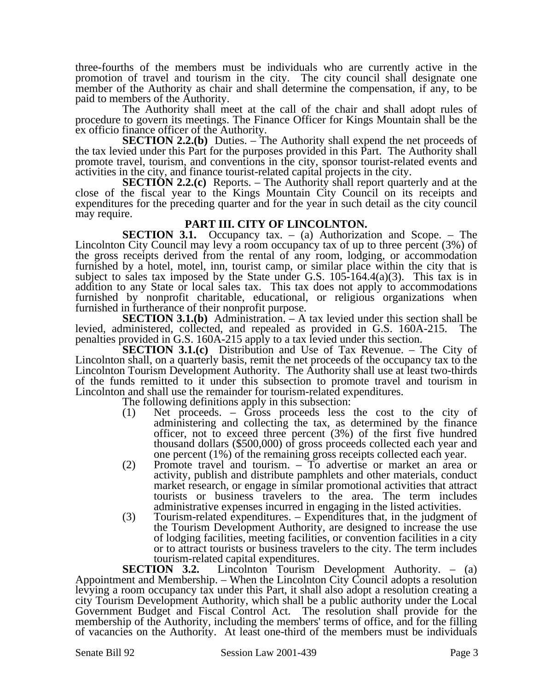three-fourths of the members must be individuals who are currently active in the promotion of travel and tourism in the city. The city council shall designate one member of the Authority as chair and shall determine the compensation, if any, to be paid to members of the Authority.

The Authority shall meet at the call of the chair and shall adopt rules of procedure to govern its meetings. The Finance Officer for Kings Mountain shall be the ex officio finance officer of the Authority.

**SECTION 2.2.(b)** Duties. – The Authority shall expend the net proceeds of the tax levied under this Part for the purposes provided in this Part. The Authority shall promote travel, tourism, and conventions in the city, sponsor tourist-related events and activities in the city, and finance tourist-related capital projects in the city.

**SECTION 2.2.(c)** Reports. – The Authority shall report quarterly and at the close of the fiscal year to the Kings Mountain City Council on its receipts and expenditures for the preceding quarter and for the year in such detail as the city council may require.

## **PART III. CITY OF LINCOLNTON.**

**SECTION 3.1.** Occupancy tax. – (a) Authorization and Scope. – The Lincolnton City Council may levy a room occupancy tax of up to three percent (3%) of the gross receipts derived from the rental of any room, lodging, or accommodation furnished by a hotel, motel, inn, tourist camp, or similar place within the city that is subject to sales tax imposed by the State under G.S.  $105-164.4(a)(3)$ . This tax is in addition to any State or local sales tax. This tax does not apply to accommodations furnished by nonprofit charitable, educational, or religious organizations when furnished in furtherance of their nonprofit purpose.

**SECTION 3.1.(b)** Administration. – A tax levied under this section shall be levied, administered, collected, and repealed as provided in G.S. 160A-215. The penalties provided in G.S. 160A-215 apply to a tax levied under this section.

**SECTION 3.1.(c)** Distribution and Use of Tax Revenue. – The City of Lincolnton shall, on a quarterly basis, remit the net proceeds of the occupancy tax to the Lincolnton Tourism Development Authority. The Authority shall use at least two-thirds of the funds remitted to it under this subsection to promote travel and tourism in Lincolnton and shall use the remainder for tourism-related expenditures.

The following definitions apply in this subsection:

- (1) Net proceeds. Gross proceeds less the cost to the city of administering and collecting the tax, as determined by the finance officer, not to exceed three percent (3%) of the first five hundred thousand dollars (\$500,000) of gross proceeds collected each year and one percent (1%) of the remaining gross receipts collected each year.
- (2) Promote travel and tourism. To advertise or market an area or activity, publish and distribute pamphlets and other materials, conduct market research, or engage in similar promotional activities that attract tourists or business travelers to the area. The term includes administrative expenses incurred in engaging in the listed activities.
- (3) Tourism-related expenditures. Expenditures that, in the judgment of the Tourism Development Authority, are designed to increase the use of lodging facilities, meeting facilities, or convention facilities in a city or to attract tourists or business travelers to the city. The term includes

tourism-related capital expenditures.<br>SECTION 3.2. Lincolnton Tourism Lincolnton Tourism Development Authority. – (a) Appointment and Membership. – When the Lincolnton City Council adopts a resolution levying a room occupancy tax under this Part, it shall also adopt a resolution creating a city Tourism Development Authority, which shall be a public authority under the Local Government Budget and Fiscal Control Act. The resolution shall provide for the membership of the Authority, including the members' terms of office, and for the filling of vacancies on the Authority. At least one-third of the members must be individuals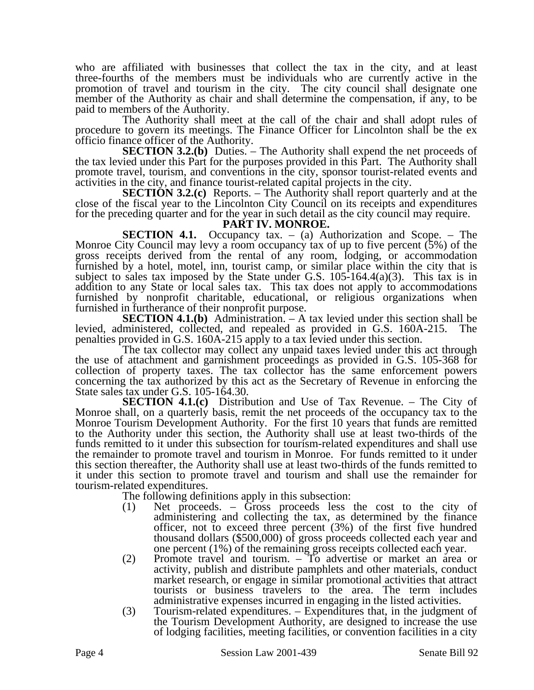who are affiliated with businesses that collect the tax in the city, and at least three-fourths of the members must be individuals who are currently active in the promotion of travel and tourism in the city. The city council shall designate one member of the Authority as chair and shall determine the compensation, if any, to be paid to members of the Authority.

The Authority shall meet at the call of the chair and shall adopt rules of procedure to govern its meetings. The Finance Officer for Lincolnton shall be the ex officio finance officer of the Authority.

**SECTION 3.2.(b)** Duties. – The Authority shall expend the net proceeds of the tax levied under this Part for the purposes provided in this Part. The Authority shall promote travel, tourism, and conventions in the city, sponsor tourist-related events and activities in the city, and finance tourist-related capital projects in the city.

**SECTION 3.2.(c)** Reports. – The Authority shall report quarterly and at the close of the fiscal year to the Lincolnton City Council on its receipts and expenditures for the preceding quarter and for the year in such detail as the city council may require.

#### **PART IV. MONROE.**

**SECTION 4.1.** Occupancy tax. – (a) Authorization and Scope. – The Monroe City Council may levy a room occupancy tax of up to five percent (5%) of the gross receipts derived from the rental of any room, lodging, or accommodation furnished by a hotel, motel, inn, tourist camp, or similar place within the city that is subject to sales tax imposed by the State under G.S.  $105-164.4(a)(3)$ . This tax is in addition to any State or local sales tax. This tax does not apply to accommodations furnished by nonprofit charitable, educational, or religious organizations when furnished in furtherance of their nonprofit purpose.

**SECTION 4.1.(b)** Administration. – A tax levied under this section shall be levied, administered, collected, and repealed as provided in G.S. 160A-215. The penalties provided in G.S. 160A-215 apply to a tax levied under this section.

The tax collector may collect any unpaid taxes levied under this act through the use of attachment and garnishment proceedings as provided in G.S. 105-368 for collection of property taxes. The tax collector has the same enforcement powers concerning the tax authorized by this act as the Secretary of Revenue in enforcing the State sales tax under G.S. 105-164.30.

**SECTION 4.1.(c)** Distribution and Use of Tax Revenue. – The City of Monroe shall, on a quarterly basis, remit the net proceeds of the occupancy tax to the Monroe Tourism Development Authority. For the first 10 years that funds are remitted to the Authority under this section, the Authority shall use at least two-thirds of the funds remitted to it under this subsection for tourism-related expenditures and shall use the remainder to promote travel and tourism in Monroe. For funds remitted to it under this section thereafter, the Authority shall use at least two-thirds of the funds remitted to it under this section to promote travel and tourism and shall use the remainder for tourism-related expenditures.

The following definitions apply in this subsection:

- (1) Net proceeds. Gross proceeds less the cost to the city of administering and collecting the tax, as determined by the finance officer, not to exceed three percent (3%) of the first five hundred thousand dollars (\$500,000) of gross proceeds collected each year and one percent (1%) of the remaining gross receipts collected each year.
- (2) Promote travel and tourism. To advertise or market an area or activity, publish and distribute pamphlets and other materials, conduct market research, or engage in similar promotional activities that attract tourists or business travelers to the area. The term includes administrative expenses incurred in engaging in the listed activities.
- (3) Tourism-related expenditures. Expenditures that, in the judgment of the Tourism Development Authority, are designed to increase the use of lodging facilities, meeting facilities, or convention facilities in a city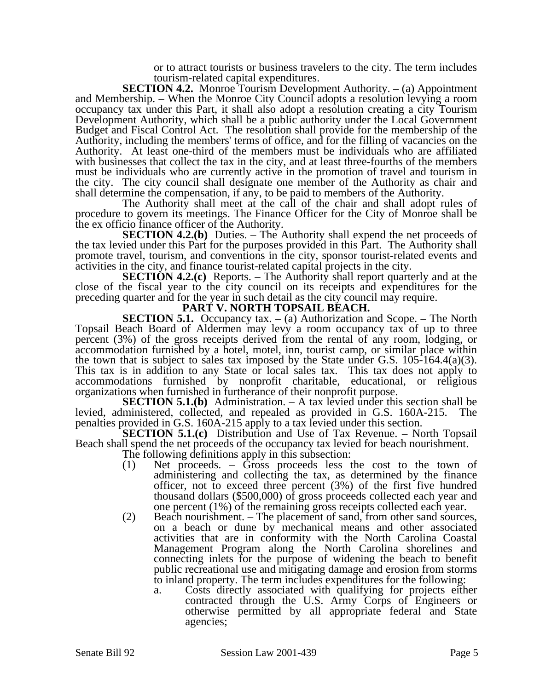or to attract tourists or business travelers to the city. The term includes tourism-related capital expenditures.

**SECTION 4.2.** Monroe Tourism Development Authority. – (a) Appointment and Membership. – When the Monroe City Council adopts a resolution levying a room occupancy tax under this Part, it shall also adopt a resolution creating a city Tourism Development Authority, which shall be a public authority under the Local Government Budget and Fiscal Control Act. The resolution shall provide for the membership of the Authority, including the members' terms of office, and for the filling of vacancies on the Authority. At least one-third of the members must be individuals who are affiliated with businesses that collect the tax in the city, and at least three-fourths of the members must be individuals who are currently active in the promotion of travel and tourism in the city. The city council shall designate one member of the Authority as chair and shall determine the compensation, if any, to be paid to members of the Authority.

The Authority shall meet at the call of the chair and shall adopt rules of procedure to govern its meetings. The Finance Officer for the City of Monroe shall be the ex officio finance officer of the Authority.

**SECTION 4.2.(b)** Duties. – The Authority shall expend the net proceeds of the tax levied under this Part for the purposes provided in this Part. The Authority shall promote travel, tourism, and conventions in the city, sponsor tourist-related events and activities in the city, and finance tourist-related capital projects in the city.

**SECTION 4.2.(c)** Reports. – The Authority shall report quarterly and at the close of the fiscal year to the city council on its receipts and expenditures for the preceding quarter and for the year in such detail as the city council may require.

## **PART V. NORTH TOPSAIL BEACH.**

**SECTION 5.1.** Occupancy tax. – (a) Authorization and Scope. – The North Topsail Beach Board of Aldermen may levy a room occupancy tax of up to three percent (3%) of the gross receipts derived from the rental of any room, lodging, or accommodation furnished by a hotel, motel, inn, tourist camp, or similar place within the town that is subject to sales tax imposed by the State under G.S. 105-164.4(a)(3). This tax is in addition to any State or local sales tax. This tax does not apply to accommodations furnished by nonprofit charitable, educational, or religious organizations when furnished in furtherance of their nonprofit purpose.

**SECTION 5.1.(b)** Administration. – A tax levied under this section shall be levied, administered, collected, and repealed as provided in G.S. 160A-215. The penalties provided in G.S. 160A-215 apply to a tax levied under this section.

**SECTION 5.1.(c)** Distribution and Use of Tax Revenue. – North Topsail Beach shall spend the net proceeds of the occupancy tax levied for beach nourishment. The following definitions apply in this subsection:

- (1) Net proceeds. Gross proceeds less the cost to the town of administering and collecting the tax, as determined by the finance officer, not to exceed three percent (3%) of the first five hundred thousand dollars (\$500,000) of gross proceeds collected each year and one percent (1%) of the remaining gross receipts collected each year.
- (2) Beach nourishment. The placement of sand, from other sand sources, on a beach or dune by mechanical means and other associated activities that are in conformity with the North Carolina Coastal Management Program along the North Carolina shorelines and connecting inlets for the purpose of widening the beach to benefit public recreational use and mitigating damage and erosion from storms to inland property. The term includes expenditures for the following:
	- a. Costs directly associated with qualifying for projects either contracted through the U.S. Army Corps of Engineers or otherwise permitted by all appropriate federal and State agencies;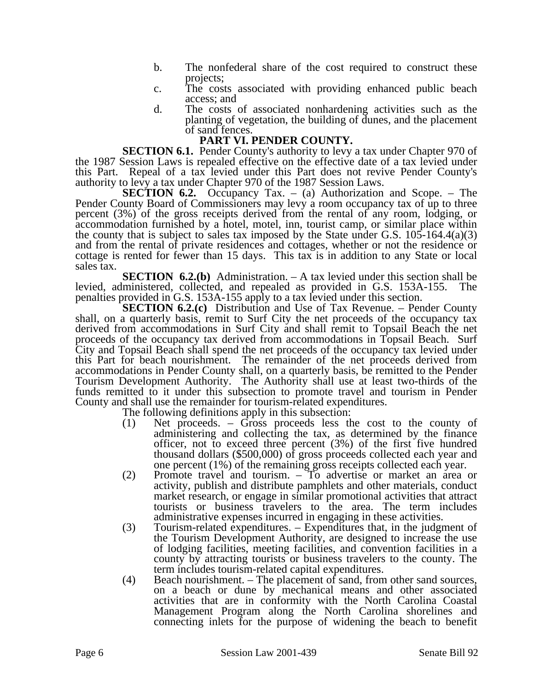- b. The nonfederal share of the cost required to construct these projects;
- c. The costs associated with providing enhanced public beach access; and
- d. The costs of associated nonhardening activities such as the planting of vegetation, the building of dunes, and the placement of sand fences.

## **PART VI. PENDER COUNTY.**

**SECTION 6.1.** Pender County's authority to levy a tax under Chapter 970 of the 1987 Session Laws is repealed effective on the effective date of a tax levied under this Part. Repeal of a tax levied under this Part does not revive Pender County's authority to levy a tax under Chapter 970 of the 1987 Session Laws.

**SECTION 6.2.** Occupancy Tax. – (a) Authorization and Scope. – The Pender County Board of Commissioners may levy a room occupancy tax of up to three percent (3%) of the gross receipts derived from the rental of any room, lodging, or accommodation furnished by a hotel, motel, inn, tourist camp, or similar place within the county that is subject to sales tax imposed by the State under G.S.  $105-164.4(a)(3)$ and from the rental of private residences and cottages, whether or not the residence or cottage is rented for fewer than 15 days. This tax is in addition to any State or local sales tax.

**SECTION 6.2.(b)** Administration. – A tax levied under this section shall be levied, administered, collected, and repealed as provided in G.S. 153A-155. The penalties provided in G.S. 153A-155 apply to a tax levied under this section.

**SECTION 6.2.(c)** Distribution and Use of Tax Revenue. – Pender County shall, on a quarterly basis, remit to Surf City the net proceeds of the occupancy tax derived from accommodations in Surf City and shall remit to Topsail Beach the net proceeds of the occupancy tax derived from accommodations in Topsail Beach. Surf City and Topsail Beach shall spend the net proceeds of the occupancy tax levied under this Part for beach nourishment. The remainder of the net proceeds derived from accommodations in Pender County shall, on a quarterly basis, be remitted to the Pender Tourism Development Authority. The Authority shall use at least two-thirds of the funds remitted to it under this subsection to promote travel and tourism in Pender County and shall use the remainder for tourism-related expenditures.

The following definitions apply in this subsection:

- (1) Net proceeds. Gross proceeds less the cost to the county of administering and collecting the tax, as determined by the finance officer, not to exceed three percent (3%) of the first five hundred thousand dollars (\$500,000) of gross proceeds collected each year and one percent (1%) of the remaining gross receipts collected each year.
- (2) Promote travel and tourism. To advertise or market an area or activity, publish and distribute pamphlets and other materials, conduct market research, or engage in similar promotional activities that attract tourists or business travelers to the area. The term includes administrative expenses incurred in engaging in these activities.
- (3) Tourism-related expenditures. Expenditures that, in the judgment of the Tourism Development Authority, are designed to increase the use of lodging facilities, meeting facilities, and convention facilities in a county by attracting tourists or business travelers to the county. The term includes tourism-related capital expenditures.
- (4) Beach nourishment. The placement of sand, from other sand sources, on a beach or dune by mechanical means and other associated activities that are in conformity with the North Carolina Coastal Management Program along the North Carolina shorelines and connecting inlets for the purpose of widening the beach to benefit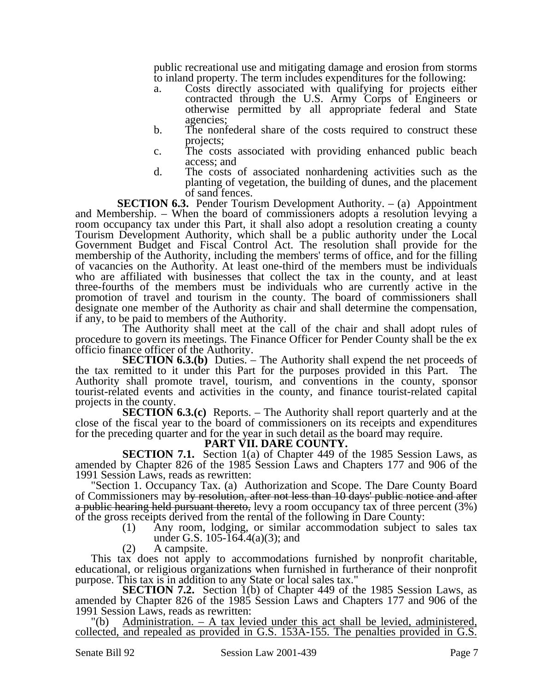public recreational use and mitigating damage and erosion from storms to inland property. The term includes expenditures for the following:

- a. Costs directly associated with qualifying for projects either contracted through the U.S. Army Corps of Engineers or otherwise permitted by all appropriate federal and State agencies;
- b. The nonfederal share of the costs required to construct these projects;
- c. The costs associated with providing enhanced public beach access; and
- d. The costs of associated nonhardening activities such as the planting of vegetation, the building of dunes, and the placement of sand fences.

**SECTION 6.3.** Pender Tourism Development Authority. – (a) Appointment and Membership. – When the board of commissioners adopts a resolution levying a room occupancy tax under this Part, it shall also adopt a resolution creating a county Tourism Development Authority, which shall be a public authority under the Local Government Budget and Fiscal Control Act. The resolution shall provide for the membership of the Authority, including the members' terms of office, and for the filling of vacancies on the Authority. At least one-third of the members must be individuals who are affiliated with businesses that collect the tax in the county, and at least three-fourths of the members must be individuals who are currently active in the promotion of travel and tourism in the county. The board of commissioners shall designate one member of the Authority as chair and shall determine the compensation, if any, to be paid to members of the Authority.

The Authority shall meet at the call of the chair and shall adopt rules of procedure to govern its meetings. The Finance Officer for Pender County shall be the ex officio finance officer of the Authority.

**SECTION 6.3.(b)** Duties. – The Authority shall expend the net proceeds of the tax remitted to it under this Part for the purposes provided in this Part. The Authority shall promote travel, tourism, and conventions in the county, sponsor tourist-related events and activities in the county, and finance tourist-related capital projects in the county.

**SECTION 6.3.(c)** Reports. – The Authority shall report quarterly and at the close of the fiscal year to the board of commissioners on its receipts and expenditures for the preceding quarter and for the year in such detail as the board may require.

#### **PART VII. DARE COUNTY.**

**SECTION 7.1.** Section 1(a) of Chapter 449 of the 1985 Session Laws, as amended by Chapter 826 of the 1985 Session Laws and Chapters 177 and 906 of the 1991 Session Laws, reads as rewritten:

"Section 1. Occupancy Tax. (a) Authorization and Scope. The Dare County Board of Commissioners may by resolution, after not less than 10 days' public notice and after a public hearing held pursuant thereto, levy a room occupancy tax of three percent (3%) of the gross receipts derived from the rental of the following in Dare County:

- (1) Any room, lodging, or similar accommodation subject to sales tax under G.S. 105-164.4(a)(3); and
- (2) A campsite.

This tax does not apply to accommodations furnished by nonprofit charitable, educational, or religious organizations when furnished in furtherance of their nonprofit purpose. This tax is in addition to any State or local sales tax."

**SECTION 7.2.** Section 1(b) of Chapter 449 of the 1985 Session Laws, as amended by Chapter 826 of the 1985 Session Laws and Chapters 177 and 906 of the 1991 Session Laws, reads as rewritten:

"(b) Administration. – A tax levied under this act shall be levied, administered, collected, and repealed as provided in G.S. 153A-155. The penalties provided in G.S.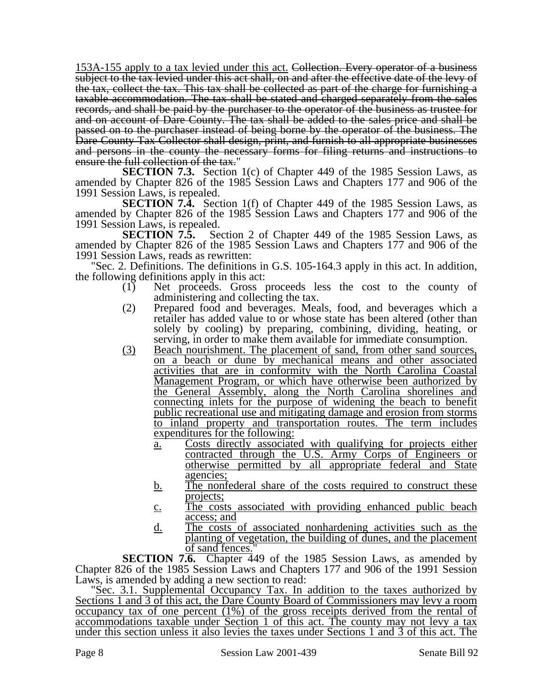153A-155 apply to a tax levied under this act. Collection. Every operator of a business subject to the tax levied under this act shall, on and after the effective date of the levy of the tax, collect the tax. This tax shall be collected as part of the charge for furnishing a taxable accommodation. The tax shall be stated and charged separately from the sales records, and shall be paid by the purchaser to the operator of the business as trustee for and on account of Dare County. The tax shall be added to the sales price and shall be passed on to the purchaser instead of being borne by the operator of the business. The Dare County Tax Collector shall design, print, and furnish to all appropriate businesses and persons in the county the necessary forms for filing returns and instructions to ensure the full collection of the tax."

**SECTION 7.3.** Section 1(c) of Chapter 449 of the 1985 Session Laws, as amended by Chapter 826 of the 1985 Session Laws and Chapters 177 and 906 of the 1991 Session Laws, is repealed.

**SECTION 7.4.** Section 1(f) of Chapter 449 of the 1985 Session Laws, as amended by Chapter 826 of the 1985 Session Laws and Chapters 177 and 906 of the

1991 Session Laws, is repealed.<br>**SECTION 7.5.** Se Section 2 of Chapter 449 of the 1985 Session Laws, as amended by Chapter 826 of the 1985 Session Laws and Chapters 177 and 906 of the 1991 Session Laws, reads as rewritten:

"Sec. 2. Definitions. The definitions in G.S. 105-164.3 apply in this act. In addition, the following definitions apply in this act:

- (1) Net proceeds. Gross proceeds less the cost to the county of administering and collecting the tax.
- (2) Prepared food and beverages. Meals, food, and beverages which a retailer has added value to or whose state has been altered (other than solely by cooling) by preparing, combining, dividing, heating, or serving, in order to make them available for immediate consumption.
- (3) Beach nourishment. The placement of sand, from other sand sources, on a beach or dune by mechanical means and other associated activities that are in conformity with the North Carolina Coastal Management Program, or which have otherwise been authorized by the General Assembly, along the North Carolina shorelines and connecting inlets for the purpose of widening the beach to benefit public recreational use and mitigating damage and erosion from storms to inland property and transportation routes. The term includes expenditures for the following:
	- a. Costs directly associated with qualifying for projects either contracted through the U.S. Army Corps of Engineers or otherwise permitted by all appropriate federal and State agencies;
	- b. The nonfederal share of the costs required to construct these projects;
	- c. The costs associated with providing enhanced public beach access; and
	- d. The costs of associated nonhardening activities such as the planting of vegetation, the building of dunes, and the placement of sand fences."

**SECTION 7.6.** Chapter 449 of the 1985 Session Laws, as amended by Chapter 826 of the 1985 Session Laws and Chapters 177 and 906 of the 1991 Session Laws, is amended by adding a new section to read:

"Sec. 3.1. Supplemental Occupancy Tax. In addition to the taxes authorized by Sections 1 and 3 of this act, the Dare County Board of Commissioners may levy a room occupancy tax of one percent (1%) of the gross receipts derived from the rental of accommodations taxable under Section 1 of this act. The county may not levy a tax under this section unless it also levies the taxes under Sections 1 and 3 of this act. The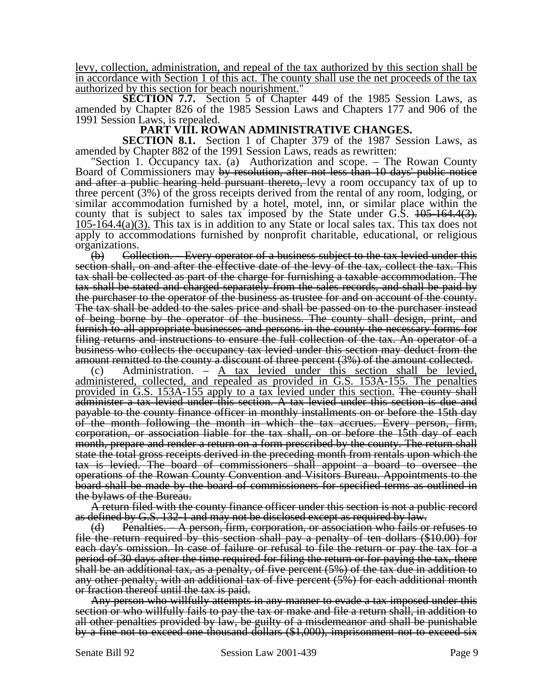levy, collection, administration, and repeal of the tax authorized by this section shall be in accordance with Section 1 of this act. The county shall use the net proceeds of the tax authorized by this section for beach nourishment."

**SECTION 7.7.** Section 5 of Chapter 449 of the 1985 Session Laws, as amended by Chapter 826 of the 1985 Session Laws and Chapters 177 and 906 of the 1991 Session Laws, is repealed.

### **PART VIII. ROWAN ADMINISTRATIVE CHANGES.**

**SECTION 8.1.** Section 1 of Chapter 379 of the 1987 Session Laws, as amended by Chapter 882 of the 1991 Session Laws, reads as rewritten:

"Section 1. Occupancy tax. (a) Authorization and scope. – The Rowan County Board of Commissioners may by resolution, after not less than 10 days' public notice and after a public hearing held pursuant thereto, levy a room occupancy tax of up to three percent (3%) of the gross receipts derived from the rental of any room, lodging, or similar accommodation furnished by a hotel, motel, inn, or similar place within the county that is subject to sales tax imposed by the State under G.S.  $105-164.4(3)$ . 105-164.4(a)(3). This tax is in addition to any State or local sales tax. This tax does not apply to accommodations furnished by nonprofit charitable, educational, or religious organizations.

(b) Collection. – Every operator of a business subject to the tax levied under this section shall, on and after the effective date of the levy of the tax, collect the tax. This tax shall be collected as part of the charge for furnishing a taxable accommodation. The tax shall be stated and charged separately from the sales records, and shall be paid by the purchaser to the operator of the business as trustee for and on account of the county. The tax shall be added to the sales price and shall be passed on to the purchaser instead of being borne by the operator of the business. The county shall design, print, and furnish to all appropriate businesses and persons in the county the necessary forms for filing returns and instructions to ensure the full collection of the tax. An operator of a business who collects the occupancy tax levied under this section may deduct from the amount remitted to the county a discount of three percent (3%) of the amount collected.

(c) Administration. – A tax levied under this section shall be levied, administered, collected, and repealed as provided in G.S. 153A-155. The penalties provided in G.S. 153A-155 apply to a tax levied under this section. The county shall administer a tax levied under this section. A tax levied under this section is due and payable to the county finance officer in monthly installments on or before the 15th day of the month following the month in which the tax accrues. Every person, firm, corporation, or association liable for the tax shall, on or before the 15th day of each month, prepare and render a return on a form prescribed by the county. The return shall state the total gross receipts derived in the preceding month from rentals upon which the tax is levied. The board of commissioners shall appoint a board to oversee the operations of the Rowan County Convention and Visitors Bureau. Appointments to the board shall be made by the board of commissioners for specified terms as outlined in the bylaws of the Bureau.

A return filed with the county finance officer under this section is not a public record as defined by G.S. 132-1 and may not be disclosed except as required by law.

(d) Penalties. – A person, firm, corporation, or association who fails or refuses to file the return required by this section shall pay a penalty of ten dollars (\$10.00) for each day's omission. In case of failure or refusal to file the return or pay the tax for a period of 30 days after the time required for filing the return or for paying the tax, there shall be an additional tax, as a penalty, of five percent (5%) of the tax due in addition to any other penalty, with an additional tax of five percent (5%) for each additional month or fraction thereof until the tax is paid.

Any person who willfully attempts in any manner to evade a tax imposed under this section or who willfully fails to pay the tax or make and file a return shall, in addition to all other penalties provided by law, be guilty of a misdemeanor and shall be punishable by a fine not to exceed one thousand dollars (\$1,000), imprisonment not to exceed six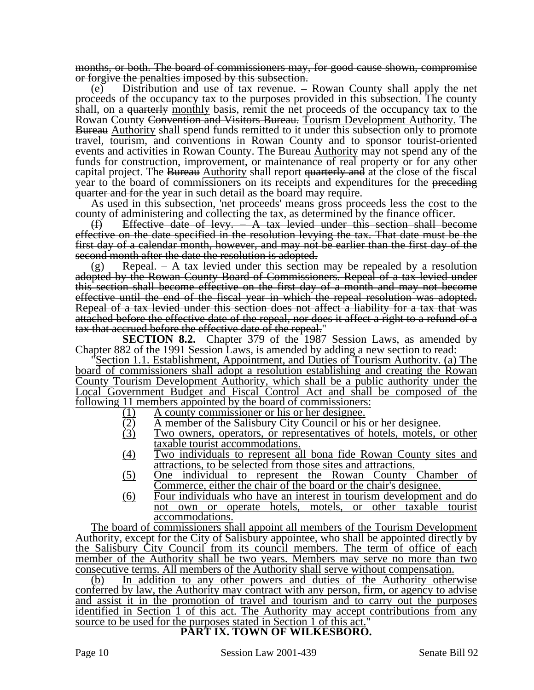months, or both. The board of commissioners may, for good cause shown, compromise or forgive the penalties imposed by this subsection.

(e) Distribution and use of tax revenue. – Rowan County shall apply the net proceeds of the occupancy tax to the purposes provided in this subsection. The county shall, on a <del>quarterly</del> monthly basis, remit the net proceeds of the occupancy tax to the Rowan County Convention and Visitors Bureau. Tourism Development Authority. The Bureau Authority shall spend funds remitted to it under this subsection only to promote travel, tourism, and conventions in Rowan County and to sponsor tourist-oriented events and activities in Rowan County. The Bureau **Authority** may not spend any of the funds for construction, improvement, or maintenance of real property or for any other capital project. The Bureau Authority shall report quarterly and at the close of the fiscal year to the board of commissioners on its receipts and expenditures for the preceding quarter and for the year in such detail as the board may require.

As used in this subsection, 'net proceeds' means gross proceeds less the cost to the county of administering and collecting the tax, as determined by the finance officer.

(f) Effective date of levy. – A tax levied under this section shall become effective on the date specified in the resolution levying the tax. That date must be the first day of a calendar month, however, and may not be earlier than the first day of the second month after the date the resolution is adopted.

 $(g)$  Repeal. A tax levied under this section may be repealed by a resolution adopted by the Rowan County Board of Commissioners. Repeal of a tax levied under this section shall become effective on the first day of a month and may not become effective until the end of the fiscal year in which the repeal resolution was adopted. Repeal of a tax levied under this section does not affect a liability for a tax that was attached before the effective date of the repeal, nor does it affect a right to a refund of a tax that accrued before the effective date of the repeal."

**SECTION 8.2.** Chapter 379 of the 1987 Session Laws, as amended by Chapter 882 of the 1991 Session Laws, is amended by adding a new section to read:

Section 1.1. Establishment, Appointment, and Duties of Tourism Authority. (a) The board of commissioners shall adopt a resolution establishing and creating the Rowan County Tourism Development Authority, which shall be a public authority under the Local Government Budget and Fiscal Control Act and shall be composed of the

- A county commissioner or his or her designee.
- A member of the Salisbury City Council or his or her designee.
- <u>following 11 members appointed by the board of commissioners:</u><br>  $\underbrace{(1)}$  A county commissioner or his or her designee.<br>  $\underbrace{(2)}$  A member of the Salisbury City Council or his c<br>  $\underbrace{(3)}$  Two owners, operators, or represe Two owners, operators, or representatives of hotels, motels, or other taxable tourist accommodations.
	- (4) Two individuals to represent all bona fide Rowan County sites and attractions, to be selected from those sites and attractions.
	- (5) One individual to represent the Rowan County Chamber of Commerce, either the chair of the board or the chair's designee.
	- (6) Four individuals who have an interest in tourism development and do not own or operate hotels, motels, or other taxable tourist accommodations.

The board of commissioners shall appoint all members of the Tourism Development Authority, except for the City of Salisbury appointee, who shall be appointed directly by the Salisbury City Council from its council members. The term of office of each member of the Authority shall be two years. Members may serve no more than two consecutive terms. All members of the Authority shall serve without compensation.

(b) In addition to any other powers and duties of the Authority otherwise conferred by law, the Authority may contract with any person, firm, or agency to advise and assist it in the promotion of travel and tourism and to carry out the purposes identified in Section 1 of this act. The Authority may accept contributions from any source to be used for the purposes stated in Section 1 of this act." **PART IX. TOWN OF WILKESBORO.**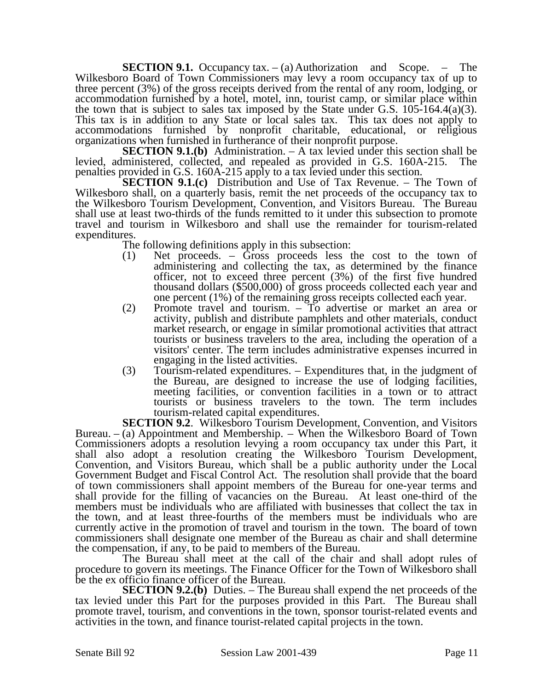**SECTION 9.1.** Occupancy tax. – (a) Authorization and Scope. – The Wilkesboro Board of Town Commissioners may levy a room occupancy tax of up to three percent (3%) of the gross receipts derived from the rental of any room, lodging, or accommodation furnished by a hotel, motel, inn, tourist camp, or similar place within the town that is subject to sales tax imposed by the State under G.S. 105-164.4(a)(3). This tax is in addition to any State or local sales tax. This tax does not apply to accommodations furnished by nonprofit charitable, educational, or religious organizations when furnished in furtherance of their nonprofit purpose.

**SECTION 9.1.(b)** Administration. – A tax levied under this section shall be levied, administered, collected, and repealed as provided in G.S. 160A-215. The penalties provided in G.S. 160A-215 apply to a tax levied under this section.

**SECTION 9.1.(c)** Distribution and Use of Tax Revenue. – The Town of Wilkesboro shall, on a quarterly basis, remit the net proceeds of the occupancy tax to the Wilkesboro Tourism Development, Convention, and Visitors Bureau. The Bureau shall use at least two-thirds of the funds remitted to it under this subsection to promote travel and tourism in Wilkesboro and shall use the remainder for tourism-related expenditures.

The following definitions apply in this subsection:

- (1) Net proceeds. Gross proceeds less the cost to the town of administering and collecting the tax, as determined by the finance officer, not to exceed three percent (3%) of the first five hundred thousand dollars (\$500,000) of gross proceeds collected each year and one percent (1%) of the remaining gross receipts collected each year.
- (2) Promote travel and tourism. To advertise or market an area or activity, publish and distribute pamphlets and other materials, conduct market research, or engage in similar promotional activities that attract tourists or business travelers to the area, including the operation of a visitors' center. The term includes administrative expenses incurred in engaging in the listed activities.
- (3) Tourism-related expenditures. Expenditures that, in the judgment of the Bureau, are designed to increase the use of lodging facilities, meeting facilities, or convention facilities in a town or to attract tourists or business travelers to the town. The term includes tourism-related capital expenditures.

**SECTION 9.2.** Wilkesboro Tourism Development, Convention, and Visitors Bureau. – (a) Appointment and Membership. – When the Wilkesboro Board of Town Commissioners adopts a resolution levying a room occupancy tax under this Part, it shall also adopt a resolution creating the Wilkesboro Tourism Development, Convention, and Visitors Bureau, which shall be a public authority under the Local Government Budget and Fiscal Control Act. The resolution shall provide that the board of town commissioners shall appoint members of the Bureau for one-year terms and shall provide for the filling of vacancies on the Bureau. At least one-third of the members must be individuals who are affiliated with businesses that collect the tax in the town, and at least three-fourths of the members must be individuals who are currently active in the promotion of travel and tourism in the town. The board of town commissioners shall designate one member of the Bureau as chair and shall determine the compensation, if any, to be paid to members of the Bureau.

The Bureau shall meet at the call of the chair and shall adopt rules of procedure to govern its meetings. The Finance Officer for the Town of Wilkesboro shall be the ex officio finance officer of the Bureau.

**SECTION 9.2.(b)** Duties. – The Bureau shall expend the net proceeds of the tax levied under this Part for the purposes provided in this Part. The Bureau shall promote travel, tourism, and conventions in the town, sponsor tourist-related events and activities in the town, and finance tourist-related capital projects in the town.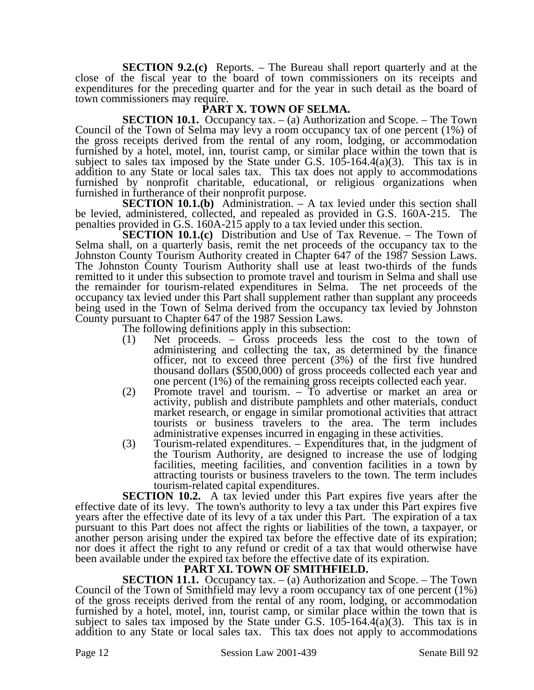**SECTION 9.2.(c)** Reports. – The Bureau shall report quarterly and at the close of the fiscal year to the board of town commissioners on its receipts and expenditures for the preceding quarter and for the year in such detail as the board of town commissioners may require.

## **PART X. TOWN OF SELMA.**

**SECTION 10.1.** Occupancy tax. – (a) Authorization and Scope. – The Town Council of the Town of Selma may levy a room occupancy tax of one percent (1%) of the gross receipts derived from the rental of any room, lodging, or accommodation furnished by a hotel, motel, inn, tourist camp, or similar place within the town that is subject to sales tax imposed by the State under G.S.  $105-164.4(a)(3)$ . This tax is in addition to any State or local sales tax. This tax does not apply to accommodations furnished by nonprofit charitable, educational, or religious organizations when furnished in furtherance of their nonprofit purpose.

**SECTION 10.1.(b)** Administration. – A tax levied under this section shall be levied, administered, collected, and repealed as provided in G.S. 160A-215. The penalties provided in G.S. 160A-215 apply to a tax levied under this section.

**SECTION 10.1.(c)** Distribution and Use of Tax Revenue. – The Town of Selma shall, on a quarterly basis, remit the net proceeds of the occupancy tax to the Johnston County Tourism Authority created in Chapter 647 of the 1987 Session Laws. The Johnston County Tourism Authority shall use at least two-thirds of the funds remitted to it under this subsection to promote travel and tourism in Selma and shall use the remainder for tourism-related expenditures in Selma. The net proceeds of the occupancy tax levied under this Part shall supplement rather than supplant any proceeds being used in the Town of Selma derived from the occupancy tax levied by Johnston County pursuant to Chapter 647 of the 1987 Session Laws.

The following definitions apply in this subsection:

- (1) Net proceeds. Gross proceeds less the cost to the town of administering and collecting the tax, as determined by the finance officer, not to exceed three percent (3%) of the first five hundred thousand dollars (\$500,000) of gross proceeds collected each year and one percent (1%) of the remaining gross receipts collected each year.
- (2) Promote travel and tourism. To advertise or market an area or activity, publish and distribute pamphlets and other materials, conduct market research, or engage in similar promotional activities that attract tourists or business travelers to the area. The term includes administrative expenses incurred in engaging in these activities.
- (3) Tourism-related expenditures. Expenditures that, in the judgment of the Tourism Authority, are designed to increase the use of lodging facilities, meeting facilities, and convention facilities in a town by attracting tourists or business travelers to the town. The term includes tourism-related capital expenditures.

**SECTION 10.2.** A tax levied under this Part expires five years after the effective date of its levy. The town's authority to levy a tax under this Part expires five years after the effective date of its levy of a tax under this Part. The expiration of a tax pursuant to this Part does not affect the rights or liabilities of the town, a taxpayer, or another person arising under the expired tax before the effective date of its expiration; nor does it affect the right to any refund or credit of a tax that would otherwise have been available under the expired tax before the effective date of its expiration.

## **PART XI. TOWN OF SMITHFIELD.**

**SECTION 11.1.** Occupancy tax. – (a) Authorization and Scope. – The Town Council of the Town of Smithfield may levy a room occupancy tax of one percent (1%) of the gross receipts derived from the rental of any room, lodging, or accommodation furnished by a hotel, motel, inn, tourist camp, or similar place within the town that is subject to sales tax imposed by the State under G.S.  $105-164.4(a)(3)$ . This tax is in addition to any State or local sales tax. This tax does not apply to accommodations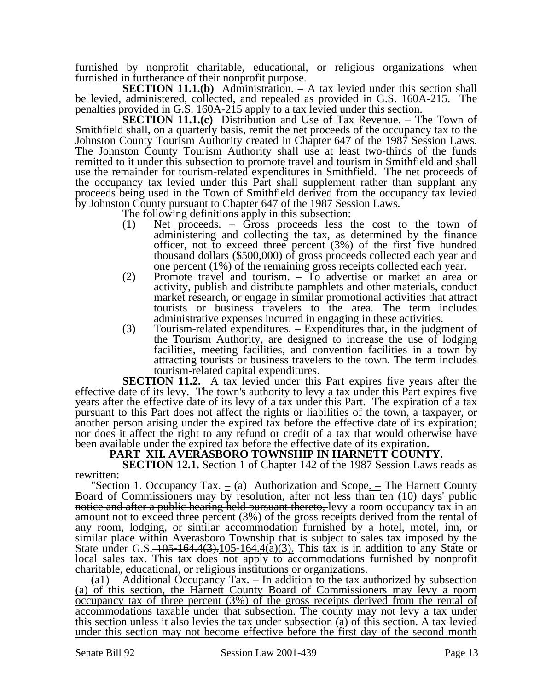furnished by nonprofit charitable, educational, or religious organizations when furnished in furtherance of their nonprofit purpose.

**SECTION 11.1.(b)** Administration. – A tax levied under this section shall be levied, administered, collected, and repealed as provided in G.S. 160A-215. The penalties provided in G.S. 160A-215 apply to a tax levied under this section.

**SECTION 11.1.(c)** Distribution and Use of Tax Revenue. – The Town of Smithfield shall, on a quarterly basis, remit the net proceeds of the occupancy tax to the Johnston County Tourism Authority created in Chapter 647 of the 1987 Session Laws. The Johnston County Tourism Authority shall use at least two-thirds of the funds remitted to it under this subsection to promote travel and tourism in Smithfield and shall use the remainder for tourism-related expenditures in Smithfield. The net proceeds of the occupancy tax levied under this Part shall supplement rather than supplant any proceeds being used in the Town of Smithfield derived from the occupancy tax levied by Johnston County pursuant to Chapter 647 of the 1987 Session Laws.

The following definitions apply in this subsection:

- (1) Net proceeds. Gross proceeds less the cost to the town of administering and collecting the tax, as determined by the finance officer, not to exceed three percent (3%) of the first five hundred thousand dollars (\$500,000) of gross proceeds collected each year and one percent (1%) of the remaining gross receipts collected each year.
- (2) Promote travel and tourism. To advertise or market an area or activity, publish and distribute pamphlets and other materials, conduct market research, or engage in similar promotional activities that attract tourists or business travelers to the area. The term includes administrative expenses incurred in engaging in these activities.
- (3) Tourism-related expenditures. Expenditures that, in the judgment of the Tourism Authority, are designed to increase the use of lodging facilities, meeting facilities, and convention facilities in a town by attracting tourists or business travelers to the town. The term includes tourism-related capital expenditures.

**SECTION 11.2.** A tax levied under this Part expires five years after the effective date of its levy. The town's authority to levy a tax under this Part expires five years after the effective date of its levy of a tax under this Part. The expiration of a tax pursuant to this Part does not affect the rights or liabilities of the town, a taxpayer, or another person arising under the expired tax before the effective date of its expiration; nor does it affect the right to any refund or credit of a tax that would otherwise have been available under the expired tax before the effective date of its expiration.

## **PART XII. AVERASBORO TOWNSHIP IN HARNETT COUNTY.**

**SECTION 12.1.** Section 1 of Chapter 142 of the 1987 Session Laws reads as rewritten:

"Section 1. Occupancy Tax.  $=$  (a) Authorization and Scope.  $=$  The Harnett County Board of Commissioners may by resolution, after not less than ten (10) days' public notice and after a public hearing held pursuant thereto, levy a room occupancy tax in an amount not to exceed three percent (3%) of the gross receipts derived from the rental of any room, lodging, or similar accommodation furnished by a hotel, motel, inn, or similar place within Averasboro Township that is subject to sales tax imposed by the State under G.S.  $\frac{105-164.4(3) \cdot 105-164.4(a)(3)}{2}$ . This tax is in addition to any State or local sales tax. This tax does not apply to accommodations furnished by nonprofit charitable, educational, or religious institutions or organizations.

(a1) Additional Occupancy Tax. – In addition to the tax authorized by subsection (a) of this section, the Harnett County Board of Commissioners may levy a room occupancy tax of three percent (3%) of the gross receipts derived from the rental of accommodations taxable under that subsection. The county may not levy a tax under this section unless it also levies the tax under subsection (a) of this section. A tax levied under this section may not become effective before the first day of the second month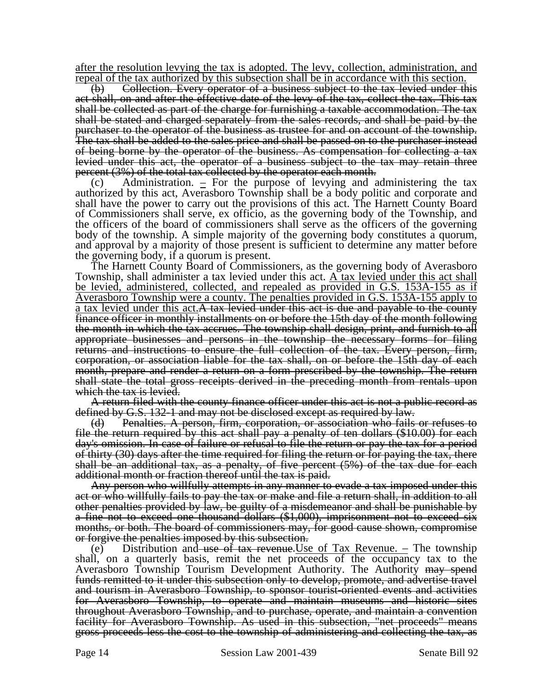after the resolution levying the tax is adopted. The levy, collection, administration, and repeal of the tax authorized by this subsection shall be in accordance with this section.

(b) Collection. Every operator of a business subject to the tax levied under this act shall, on and after the effective date of the levy of the tax, collect the tax. This tax shall be collected as part of the charge for furnishing a taxable accommodation. The tax shall be stated and charged separately from the sales records, and shall be paid by the purchaser to the operator of the business as trustee for and on account of the township. The tax shall be added to the sales price and shall be passed on to the purchaser instead of being borne by the operator of the business. As compensation for collecting a tax levied under this act, the operator of a business subject to the tax may retain three percent (3%) of the total tax collected by the operator each month.

(c) Administration.  $\equiv$  For the purpose of levying and administering the tax authorized by this act, Averasboro Township shall be a body politic and corporate and shall have the power to carry out the provisions of this act. The Harnett County Board of Commissioners shall serve, ex officio, as the governing body of the Township, and the officers of the board of commissioners shall serve as the officers of the governing body of the township. A simple majority of the governing body constitutes a quorum, and approval by a majority of those present is sufficient to determine any matter before the governing body, if a quorum is present.

The Harnett County Board of Commissioners, as the governing body of Averasboro Township, shall administer a tax levied under this act. A tax levied under this act shall be levied, administered, collected, and repealed as provided in G.S. 153A-155 as if Averasboro Township were a county. The penalties provided in G.S. 153A-155 apply to a tax levied under this act. A tax levied under this act is due and payable to the county finance officer in monthly installments on or before the 15th day of the month following the month in which the tax accrues. The township shall design, print, and furnish to all appropriate businesses and persons in the township the necessary forms for filing returns and instructions to ensure the full collection of the tax. Every person, firm, corporation, or association liable for the tax shall, on or before the 15th day of each month, prepare and render a return on a form prescribed by the township. The return shall state the total gross receipts derived in the preceding month from rentals upon which the tax is levied.

A return filed with the county finance officer under this act is not a public record as defined by G.S. 132-1 and may not be disclosed except as required by law.

(d) Penalties. A person, firm, corporation, or association who fails or refuses to file the return required by this act shall pay a penalty of ten dollars (\$10.00) for each day's omission. In case of failure or refusal to file the return or pay the tax for a period of thirty (30) days after the time required for filing the return or for paying the tax, there shall be an additional tax, as a penalty, of five percent (5%) of the tax due for each additional month or fraction thereof until the tax is paid.

Any person who willfully attempts in any manner to evade a tax imposed under this act or who willfully fails to pay the tax or make and file a return shall, in addition to all other penalties provided by law, be guilty of a misdemeanor and shall be punishable by a fine not to exceed one thousand dollars (\$1,000), imprisonment not to exceed six months, or both. The board of commissioners may, for good cause shown, compromise or forgive the penalties imposed by this subsection.

(e) Distribution and use of tax revenue. Use of Tax Revenue. – The township shall, on a quarterly basis, remit the net proceeds of the occupancy tax to the Averasboro Township Tourism Development Authority. The Authority may spend funds remitted to it under this subsection only to develop, promote, and advertise travel and tourism in Averasboro Township, to sponsor tourist-oriented events and activities for Averasboro Township, to operate and maintain museums and historic sites throughout Averasboro Township, and to purchase, operate, and maintain a convention facility for Averasboro Township. As used in this subsection, "net proceeds" means gross proceeds less the cost to the township of administering and collecting the tax, as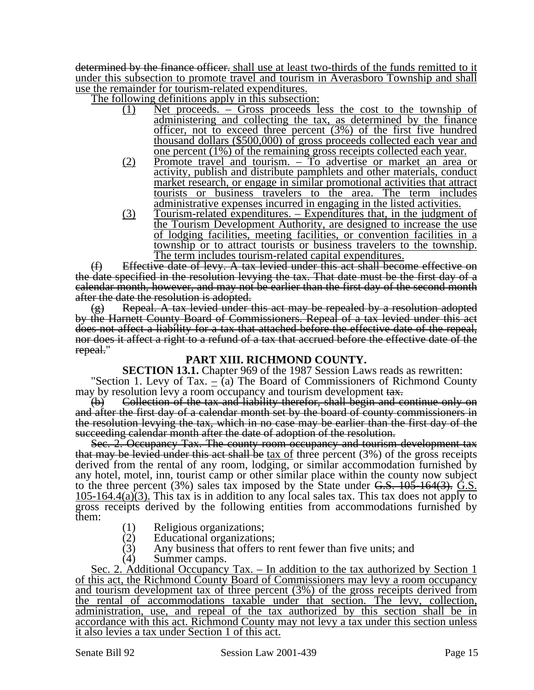determined by the finance officer. shall use at least two-thirds of the funds remitted to it under this subsection to promote travel and tourism in Averasboro Township and shall use the remainder for tourism-related expenditures.

The following definitions apply in this subsection:

- (1) Net proceeds. Gross proceeds less the cost to the township of administering and collecting the tax, as determined by the finance officer, not to exceed three percent (3%) of the first five hundred thousand dollars (\$500,000) of gross proceeds collected each year and one percent (1%) of the remaining gross receipts collected each year.
- (2) Promote travel and tourism. To advertise or market an area or activity, publish and distribute pamphlets and other materials, conduct market research, or engage in similar promotional activities that attract tourists or business travelers to the area. The term includes administrative expenses incurred in engaging in the listed activities.
- (3) Tourism-related expenditures. Expenditures that, in the judgment of the Tourism Development Authority, are designed to increase the use of lodging facilities, meeting facilities, or convention facilities in a township or to attract tourists or business travelers to the township. The term includes tourism-related capital expenditures.

(f) Effective date of levy. A tax levied under this act shall become effective on the date specified in the resolution levying the tax. That date must be the first day of a calendar month, however, and may not be earlier than the first day of the second month after the date the resolution is adopted.

Repeal. A tax levied under this act may be repealed by a resolution adopted by the Harnett County Board of Commissioners. Repeal of a tax levied under this act does not affect a liability for a tax that attached before the effective date of the repeal, nor does it affect a right to a refund of a tax that accrued before the effective date of the repeal."

## **PART XIII. RICHMOND COUNTY.**

**SECTION 13.1.** Chapter 969 of the 1987 Session Laws reads as rewritten: "Section 1. Levy of Tax.  $=$  (a) The Board of Commissioners of Richmond County

may by resolution levy a room occupancy and tourism development tax.

(b) Collection of the tax and liability therefor, shall begin and continue only on and after the first day of a calendar month set by the board of county commissioners in the resolution levying the tax, which in no case may be earlier than the first day of the succeeding calendar month after the date of adoption of the resolution.

Sec. 2. Occupancy Tax. The county room occupancy and tourism development tax that may be levied under this act shall be  $tax$  of three percent  $(3%)$  of the gross receipts derived from the rental of any room, lodging, or similar accommodation furnished by any hotel, motel, inn, tourist camp or other similar place within the county now subject to the three percent  $(3\%)$  sales tax imposed by the State under G.S.  $\frac{105}{164(3)}$ . G.S.  $105-164.4(a)(3)$ . This tax is in addition to any local sales tax. This tax does not apply to gross receipts derived by the following entities from accommodations furnished by them:

- (1) Religious organizations;
- (2) Educational organizations;<br>(3) Any business that offers to
- Any business that offers to rent fewer than five units; and
- (4) Summer camps.

Sec. 2. Additional Occupancy Tax. – In addition to the tax authorized by Section 1 of this act, the Richmond County Board of Commissioners may levy a room occupancy and tourism development tax of three percent (3%) of the gross receipts derived from the rental of accommodations taxable under that section. The levy, collection, administration, use, and repeal of the tax authorized by this section shall be in accordance with this act. Richmond County may not levy a tax under this section unless it also levies a tax under Section 1 of this act.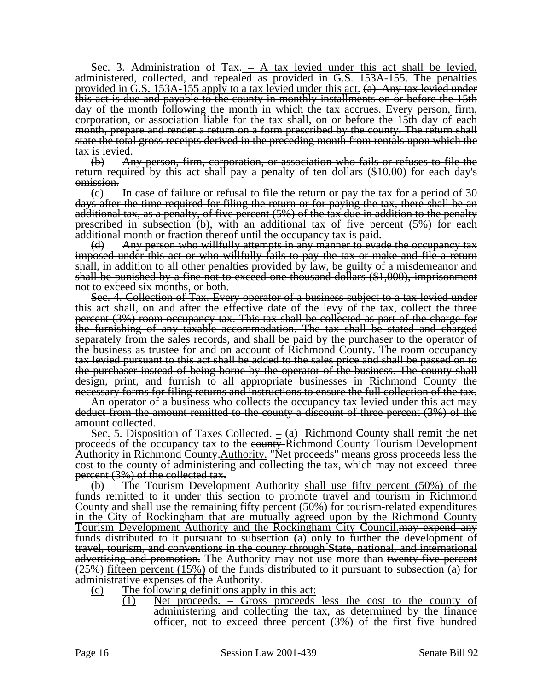Sec. 3. Administration of Tax.  $-$  A tax levied under this act shall be levied, administered, collected, and repealed as provided in G.S. 153A-155. The penalties provided in G.S. 153A-155 apply to a tax levied under this act.  $(a)$  Any tax levied under this act is due and payable to the county in monthly installments on or before the 15th day of the month following the month in which the tax accrues. Every person, firm, corporation, or association liable for the tax shall, on or before the 15th day of each month, prepare and render a return on a form prescribed by the county. The return shall state the total gross receipts derived in the preceding month from rentals upon which the tax is levied.

(b) Any person, firm, corporation, or association who fails or refuses to file the return required by this act shall pay a penalty of ten dollars (\$10.00) for each day's omission.

 $\epsilon$ ) In case of failure or refusal to file the return or pay the tax for a period of 30 days after the time required for filing the return or for paying the tax, there shall be an additional tax, as a penalty, of five percent (5%) of the tax due in addition to the penalty prescribed in subsection (b), with an additional tax of five percent (5%) for each additional month or fraction thereof until the occupancy tax is paid.

(d) Any person who willfully attempts in any manner to evade the occupancy tax imposed under this act or who willfully fails to pay the tax or make and file a return shall, in addition to all other penalties provided by law, be guilty of a misdemeanor and shall be punished by a fine not to exceed one thousand dollars (\$1,000), imprisonment not to exceed six months, or both.

Sec. 4. Collection of Tax. Every operator of a business subject to a tax levied under this act shall, on and after the effective date of the levy of the tax, collect the three percent (3%) room occupancy tax. This tax shall be collected as part of the charge for the furnishing of any taxable accommodation. The tax shall be stated and charged separately from the sales records, and shall be paid by the purchaser to the operator of the business as trustee for and on account of Richmond County. The room occupancy tax levied pursuant to this act shall be added to the sales price and shall be passed on to the purchaser instead of being borne by the operator of the business. The county shall design, print, and furnish to all appropriate businesses in Richmond County the necessary forms for filing returns and instructions to ensure the full collection of the tax.

An operator of a business who collects the occupancy tax levied under this act may deduct from the amount remitted to the county a discount of three percent (3%) of the amount collected.

Sec. 5. Disposition of Taxes Collected. – (a) Richmond County shall remit the net proceeds of the occupancy tax to the eounty-Richmond County Tourism Development Authority in Richmond County.Authority. "Net proceeds" means gross proceeds less the cost to the county of administering and collecting the tax, which may not exceed three percent (3%) of the collected tax.

(b) The Tourism Development Authority shall use fifty percent (50%) of the funds remitted to it under this section to promote travel and tourism in Richmond County and shall use the remaining fifty percent (50%) for tourism-related expenditures in the City of Rockingham that are mutually agreed upon by the Richmond County Tourism Development Authority and the Rockingham City Council.may expend any funds distributed to it pursuant to subsection (a) only to further the development of travel, tourism, and conventions in the county through State, national, and international advertising and promotion. The Authority may not use more than twenty-five percent  $(25%)$  fifteen percent (15%) of the funds distributed to it pursuant to subsection (a) for administrative expenses of the Authority.

- (c) The following definitions apply in this act:
	- (1) Net proceeds. Gross proceeds less the cost to the county of administering and collecting the tax, as determined by the finance officer, not to exceed three percent (3%) of the first five hundred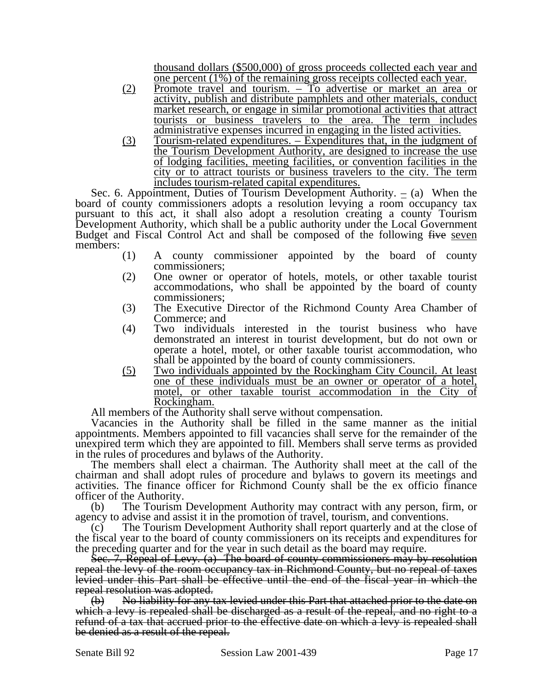thousand dollars (\$500,000) of gross proceeds collected each year and one percent (1%) of the remaining gross receipts collected each year.

- (2) Promote travel and tourism. To advertise or market an area or activity, publish and distribute pamphlets and other materials, conduct market research, or engage in similar promotional activities that attract tourists or business travelers to the area. The term includes administrative expenses incurred in engaging in the listed activities.
- (3) Tourism-related expenditures. Expenditures that, in the judgment of the Tourism Development Authority, are designed to increase the use of lodging facilities, meeting facilities, or convention facilities in the city or to attract tourists or business travelers to the city. The term includes tourism-related capital expenditures.

Sec. 6. Appointment, Duties of Tourism Development Authority.  $=$  (a) When the board of county commissioners adopts a resolution levying a room occupancy tax pursuant to this act, it shall also adopt a resolution creating a county Tourism Development Authority, which shall be a public authority under the Local Government Budget and Fiscal Control Act and shall be composed of the following five seven members:

- (1) A county commissioner appointed by the board of county commissioners;
- (2) One owner or operator of hotels, motels, or other taxable tourist accommodations, who shall be appointed by the board of county commissioners;
- (3) The Executive Director of the Richmond County Area Chamber of Commerce; and
- (4) Two individuals interested in the tourist business who have demonstrated an interest in tourist development, but do not own or operate a hotel, motel, or other taxable tourist accommodation, who shall be appointed by the board of county commissioners.
- (5) Two individuals appointed by the Rockingham City Council. At least one of these individuals must be an owner or operator of a hotel, motel, or other taxable tourist accommodation in the City of Rockingham.

All members of the Authority shall serve without compensation.

Vacancies in the Authority shall be filled in the same manner as the initial appointments. Members appointed to fill vacancies shall serve for the remainder of the unexpired term which they are appointed to fill. Members shall serve terms as provided in the rules of procedures and bylaws of the Authority.

The members shall elect a chairman. The Authority shall meet at the call of the chairman and shall adopt rules of procedure and bylaws to govern its meetings and activities. The finance officer for Richmond County shall be the ex officio finance officer of the Authority.

(b) The Tourism Development Authority may contract with any person, firm, or agency to advise and assist it in the promotion of travel, tourism, and conventions.

(c) The Tourism Development Authority shall report quarterly and at the close of the fiscal year to the board of county commissioners on its receipts and expenditures for the preceding quarter and for the year in such detail as the board may require.

Sec. 7. Repeal of Levy. (a) The board of county commissioners may by resolution repeal the levy of the room occupancy tax in Richmond County, but no repeal of taxes levied under this Part shall be effective until the end of the fiscal year in which the repeal resolution was adopted.

(b) No liability for any tax levied under this Part that attached prior to the date on which a levy is repealed shall be discharged as a result of the repeal, and no right to a refund of a tax that accrued prior to the effective date on which a levy is repealed shall be denied as a result of the repeal.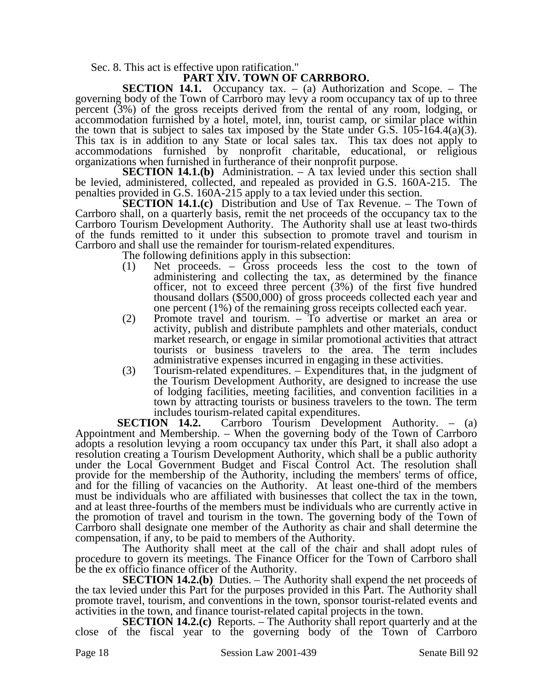Sec. 8. This act is effective upon ratification."

## **PART XIV. TOWN OF CARRBORO.**

**SECTION 14.1.** Occupancy tax. – (a) Authorization and Scope. – The governing body of the Town of Carrboro may levy a room occupancy tax of up to three percent (3%) of the gross receipts derived from the rental of any room, lodging, or accommodation furnished by a hotel, motel, inn, tourist camp, or similar place within the town that is subject to sales tax imposed by the State under G.S.  $105-164.4(a)(3)$ . This tax is in addition to any State or local sales tax. This tax does not apply to accommodations furnished by nonprofit charitable, educational, or religious organizations when furnished in furtherance of their nonprofit purpose.

**SECTION 14.1.(b)** Administration. – A tax levied under this section shall be levied, administered, collected, and repealed as provided in G.S. 160A-215. The penalties provided in G.S. 160A-215 apply to a tax levied under this section.

**SECTION 14.1.(c)** Distribution and Use of Tax Revenue. – The Town of Carrboro shall, on a quarterly basis, remit the net proceeds of the occupancy tax to the Carrboro Tourism Development Authority. The Authority shall use at least two-thirds of the funds remitted to it under this subsection to promote travel and tourism in Carrboro and shall use the remainder for tourism-related expenditures.

The following definitions apply in this subsection:

- (1) Net proceeds. Gross proceeds less the cost to the town of administering and collecting the tax, as determined by the finance officer, not to exceed three percent (3%) of the first five hundred thousand dollars (\$500,000) of gross proceeds collected each year and one percent (1%) of the remaining gross receipts collected each year.
- (2) Promote travel and tourism. To advertise or market an area or activity, publish and distribute pamphlets and other materials, conduct market research, or engage in similar promotional activities that attract tourists or business travelers to the area. The term includes administrative expenses incurred in engaging in these activities.
- (3) Tourism-related expenditures. Expenditures that, in the judgment of the Tourism Development Authority, are designed to increase the use of lodging facilities, meeting facilities, and convention facilities in a town by attracting tourists or business travelers to the town. The term includes tourism-related capital expenditures.

**SECTION 14.2.** Carrboro Tourism Development Authority. – (a) Appointment and Membership. – When the governing body of the Town of Carrboro adopts a resolution levying a room occupancy tax under this Part, it shall also adopt a resolution creating a Tourism Development Authority, which shall be a public authority under the Local Government Budget and Fiscal Control Act. The resolution shall provide for the membership of the Authority, including the members' terms of office, and for the filling of vacancies on the Authority. At least one-third of the members must be individuals who are affiliated with businesses that collect the tax in the town, and at least three-fourths of the members must be individuals who are currently active in the promotion of travel and tourism in the town. The governing body of the Town of Carrboro shall designate one member of the Authority as chair and shall determine the compensation, if any, to be paid to members of the Authority.

The Authority shall meet at the call of the chair and shall adopt rules of procedure to govern its meetings. The Finance Officer for the Town of Carrboro shall be the ex officio finance officer of the Authority.

**SECTION 14.2.(b)** Duties. – The Authority shall expend the net proceeds of the tax levied under this Part for the purposes provided in this Part. The Authority shall promote travel, tourism, and conventions in the town, sponsor tourist-related events and activities in the town, and finance tourist-related capital projects in the town.

**SECTION 14.2.(c)** Reports. – The Authority shall report quarterly and at the close of the fiscal year to the governing body of the Town of Carrboro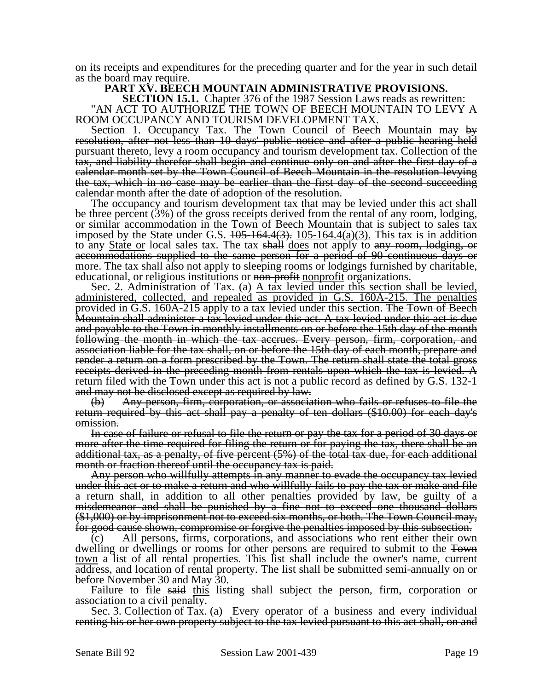on its receipts and expenditures for the preceding quarter and for the year in such detail as the board may require.

#### **PART XV. BEECH MOUNTAIN ADMINISTRATIVE PROVISIONS.**

**SECTION 15.1.** Chapter 376 of the 1987 Session Laws reads as rewritten: "AN ACT TO AUTHORIZE THE TOWN OF BEECH MOUNTAIN TO LEVY A ROOM OCCUPANCY AND TOURISM DEVELOPMENT TAX.

Section 1. Occupancy Tax. The Town Council of Beech Mountain may by resolution, after not less than 10 days' public notice and after a public hearing held pursuant thereto, levy a room occupancy and tourism development tax. Collection of the tax, and liability therefor shall begin and continue only on and after the first day of a calendar month set by the Town Council of Beech Mountain in the resolution levying the tax, which in no case may be earlier than the first day of the second succeeding calendar month after the date of adoption of the resolution.

The occupancy and tourism development tax that may be levied under this act shall be three percent (3%) of the gross receipts derived from the rental of any room, lodging, or similar accommodation in the Town of Beech Mountain that is subject to sales tax imposed by the State under G.S.  $105-164.4(3)$ .  $105-164.4(a)(3)$ . This tax is in addition to any State or local sales tax. The tax shall does not apply to any room, lodging, or accommodations supplied to the same person for a period of 90 continuous days or more. The tax shall also not apply to sleeping rooms or lodgings furnished by charitable, educational, or religious institutions or non-profit nonprofit organizations.

Sec. 2. Administration of Tax. (a)  $\overline{A}$  tax levied under this section shall be levied, administered, collected, and repealed as provided in G.S. 160A-215. The penalties provided in G.S. 160A-215 apply to a tax levied under this section. The Town of Beech Mountain shall administer a tax levied under this act. A tax levied under this act is due and payable to the Town in monthly installments on or before the 15th day of the month following the month in which the tax accrues. Every person, firm, corporation, and association liable for the tax shall, on or before the 15th day of each month, prepare and render a return on a form prescribed by the Town. The return shall state the total gross receipts derived in the preceding month from rentals upon which the tax is levied. A return filed with the Town under this act is not a public record as defined by G.S. 132-1 and may not be disclosed except as required by law.

(b) Any person, firm, corporation, or association who fails or refuses to file the return required by this act shall pay a penalty of ten dollars (\$10.00) for each day's omission.

In case of failure or refusal to file the return or pay the tax for a period of 30 days or more after the time required for filing the return or for paying the tax, there shall be an additional tax, as a penalty, of five percent (5%) of the total tax due, for each additional month or fraction thereof until the occupancy tax is paid.

Any person who willfully attempts in any manner to evade the occupancy tax levied under this act or to make a return and who willfully fails to pay the tax or make and file a return shall, in addition to all other penalties provided by law, be guilty of a misdemeanor and shall be punished by a fine not to exceed one thousand dollars (\$1,000) or by imprisonment not to exceed six months, or both. The Town Council may, for good cause shown, compromise or forgive the penalties imposed by this subsection.

(c) All persons, firms, corporations, and associations who rent either their own dwelling or dwellings or rooms for other persons are required to submit to the Fown town a list of all rental properties. This list shall include the owner's name, current address, and location of rental property. The list shall be submitted semi-annually on or before November 30 and May 30.

Failure to file said this listing shall subject the person, firm, corporation or association to a civil penalty.

Sec. 3. Collection of Tax. (a) Every operator of a business and every individual renting his or her own property subject to the tax levied pursuant to this act shall, on and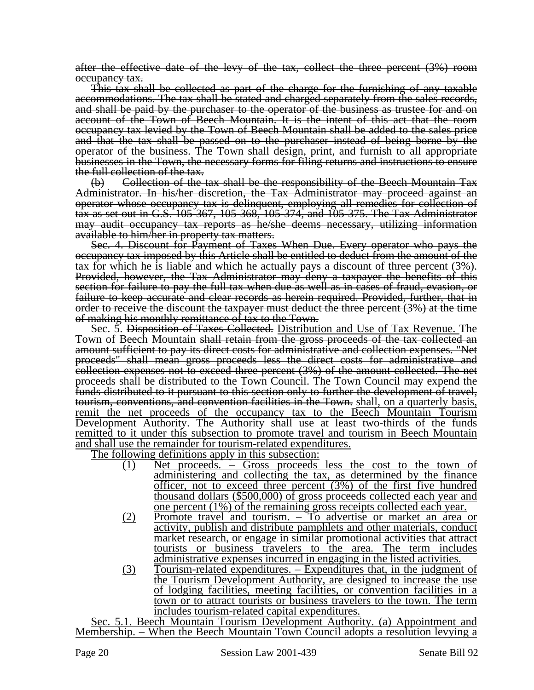after the effective date of the levy of the tax, collect the three percent (3%) room occupancy tax.

This tax shall be collected as part of the charge for the furnishing of any taxable accommodations. The tax shall be stated and charged separately from the sales records, and shall be paid by the purchaser to the operator of the business as trustee for and on account of the Town of Beech Mountain. It is the intent of this act that the room occupancy tax levied by the Town of Beech Mountain shall be added to the sales price and that the tax shall be passed on to the purchaser instead of being borne by the operator of the business. The Town shall design, print, and furnish to all appropriate businesses in the Town, the necessary forms for filing returns and instructions to ensure the full collection of the tax.

(b) Collection of the tax shall be the responsibility of the Beech Mountain Tax Administrator. In his/her discretion, the Tax Administrator may proceed against an operator whose occupancy tax is delinquent, employing all remedies for collection of tax as set out in G.S. 105-367, 105-368, 105-374, and 105-375. The Tax Administrator may audit occupancy tax reports as he/she deems necessary, utilizing information available to him/her in property tax matters.

Sec. 4. Discount for Payment of Taxes When Due. Every operator who pays the occupancy tax imposed by this Article shall be entitled to deduct from the amount of the tax for which he is liable and which he actually pays a discount of three percent (3%). Provided, however, the Tax Administrator may deny a taxpayer the benefits of this section for failure to pay the full tax when due as well as in cases of fraud, evasion, or failure to keep accurate and clear records as herein required. Provided, further, that in order to receive the discount the taxpayer must deduct the three percent (3%) at the time of making his monthly remittance of tax to the Town.

Sec. 5. Disposition of Taxes Collected. Distribution and Use of Tax Revenue. The Town of Beech Mountain shall retain from the gross proceeds of the tax collected an amount sufficient to pay its direct costs for administrative and collection expenses. "Net proceeds" shall mean gross proceeds less the direct costs for administrative and collection expenses not to exceed three percent (3%) of the amount collected. The net proceeds shall be distributed to the Town Council. The Town Council may expend the funds distributed to it pursuant to this section only to further the development of travel, tourism, conventions, and convention facilities in the Town. shall, on a quarterly basis, remit the net proceeds of the occupancy tax to the Beech Mountain Tourism Development Authority. The Authority shall use at least two-thirds of the funds remitted to it under this subsection to promote travel and tourism in Beech Mountain and shall use the remainder for tourism-related expenditures.

The following definitions apply in this subsection:

- (1) Net proceeds. Gross proceeds less the cost to the town of administering and collecting the tax, as determined by the finance officer, not to exceed three percent (3%) of the first five hundred thousand dollars (\$500,000) of gross proceeds collected each year and one percent (1%) of the remaining gross receipts collected each year.
- (2) Promote travel and tourism. To advertise or market an area or activity, publish and distribute pamphlets and other materials, conduct market research, or engage in similar promotional activities that attract tourists or business travelers to the area. The term includes administrative expenses incurred in engaging in the listed activities.
- (3) Tourism-related expenditures. Expenditures that, in the judgment of the Tourism Development Authority, are designed to increase the use of lodging facilities, meeting facilities, or convention facilities in a town or to attract tourists or business travelers to the town. The term includes tourism-related capital expenditures.

Sec. 5.1. Beech Mountain Tourism Development Authority. (a) Appointment and Membership. – When the Beech Mountain Town Council adopts a resolution levying a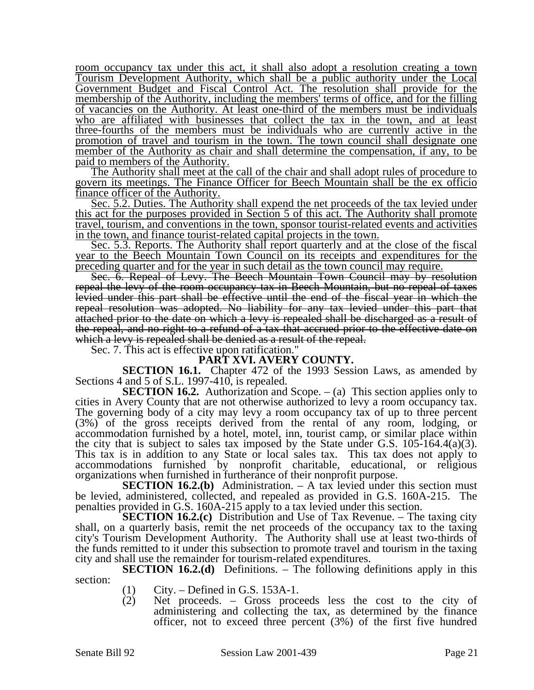room occupancy tax under this act, it shall also adopt a resolution creating a town Tourism Development Authority, which shall be a public authority under the Local Government Budget and Fiscal Control Act. The resolution shall provide for the membership of the Authority, including the members' terms of office, and for the filling of vacancies on the Authority. At least one-third of the members must be individuals who are affiliated with businesses that collect the tax in the town, and at least three-fourths of the members must be individuals who are currently active in the promotion of travel and tourism in the town. The town council shall designate one member of the Authority as chair and shall determine the compensation, if any, to be paid to members of the Authority.

The Authority shall meet at the call of the chair and shall adopt rules of procedure to govern its meetings. The Finance Officer for Beech Mountain shall be the ex officio finance officer of the Authority.

Sec. 5.2. Duties. The Authority shall expend the net proceeds of the tax levied under this act for the purposes provided in Section 5 of this act. The Authority shall promote travel, tourism, and conventions in the town, sponsor tourist-related events and activities in the town, and finance tourist-related capital projects in the town.

Sec. 5.3. Reports. The Authority shall report quarterly and at the close of the fiscal year to the Beech Mountain Town Council on its receipts and expenditures for the preceding quarter and for the year in such detail as the town council may require.

Sec. 6. Repeal of Levy. The Beech Mountain Town Council may by resolution repeal the levy of the room occupancy tax in Beech Mountain, but no repeal of taxes levied under this part shall be effective until the end of the fiscal year in which the repeal resolution was adopted. No liability for any tax levied under this part that attached prior to the date on which a levy is repealed shall be discharged as a result of the repeal, and no right to a refund of a tax that accrued prior to the effective date on which a levy is repealed shall be denied as a result of the repeal.

Sec. 7. This act is effective upon ratification."

#### **PART XVI. AVERY COUNTY.**

**SECTION 16.1.** Chapter 472 of the 1993 Session Laws, as amended by Sections 4 and 5 of S.L. 1997-410, is repealed.

**SECTION 16.2.** Authorization and Scope. – (a) This section applies only to cities in Avery County that are not otherwise authorized to levy a room occupancy tax. The governing body of a city may levy a room occupancy tax of up to three percent (3%) of the gross receipts derived from the rental of any room, lodging, or accommodation furnished by a hotel, motel, inn, tourist camp, or similar place within the city that is subject to sales tax imposed by the State under G.S. 105-164.4(a)(3). This tax is in addition to any State or local sales tax. This tax does not apply to accommodations furnished by nonprofit charitable, educational, or religious organizations when furnished in furtherance of their nonprofit purpose.

**SECTION 16.2.(b)** Administration. – A tax levied under this section must be levied, administered, collected, and repealed as provided in G.S. 160A-215. The penalties provided in G.S. 160A-215 apply to a tax levied under this section.

**SECTION 16.2.(c)** Distribution and Use of Tax Revenue. – The taxing city shall, on a quarterly basis, remit the net proceeds of the occupancy tax to the taxing city's Tourism Development Authority. The Authority shall use at least two-thirds of the funds remitted to it under this subsection to promote travel and tourism in the taxing city and shall use the remainder for tourism-related expenditures.

**SECTION 16.2.(d)** Definitions. – The following definitions apply in this section:

- 
- (1) City. Defined in G.S. 153A-1.<br>(2) Net proceeds. Gross proce Net proceeds. – Gross proceeds less the cost to the city of administering and collecting the tax, as determined by the finance officer, not to exceed three percent (3%) of the first five hundred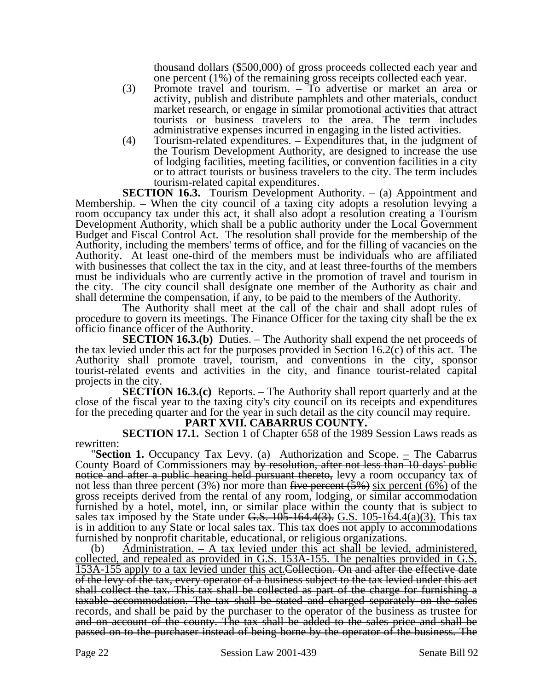thousand dollars (\$500,000) of gross proceeds collected each year and one percent (1%) of the remaining gross receipts collected each year.

- (3) Promote travel and tourism. To advertise or market an area or activity, publish and distribute pamphlets and other materials, conduct market research, or engage in similar promotional activities that attract tourists or business travelers to the area. The term includes administrative expenses incurred in engaging in the listed activities.
- (4) Tourism-related expenditures. Expenditures that, in the judgment of the Tourism Development Authority, are designed to increase the use of lodging facilities, meeting facilities, or convention facilities in a city or to attract tourists or business travelers to the city. The term includes tourism-related capital expenditures.

**SECTION 16.3.** Tourism Development Authority. – (a) Appointment and Membership. – When the city council of a taxing city adopts a resolution levying a room occupancy tax under this act, it shall also adopt a resolution creating a Tourism Development Authority, which shall be a public authority under the Local Government Budget and Fiscal Control Act. The resolution shall provide for the membership of the Authority, including the members' terms of office, and for the filling of vacancies on the Authority. At least one-third of the members must be individuals who are affiliated with businesses that collect the tax in the city, and at least three-fourths of the members must be individuals who are currently active in the promotion of travel and tourism in the city. The city council shall designate one member of the Authority as chair and shall determine the compensation, if any, to be paid to the members of the Authority.

The Authority shall meet at the call of the chair and shall adopt rules of procedure to govern its meetings. The Finance Officer for the taxing city shall be the ex officio finance officer of the Authority.

**SECTION 16.3.(b)** Duties. – The Authority shall expend the net proceeds of the tax levied under this act for the purposes provided in Section 16.2(c) of this act. The Authority shall promote travel, tourism, and conventions in the city, sponsor tourist-related events and activities in the city, and finance tourist-related capital projects in the city.

**SECTION 16.3.(c)** Reports. – The Authority shall report quarterly and at the close of the fiscal year to the taxing city's city council on its receipts and expenditures for the preceding quarter and for the year in such detail as the city council may require.

## **PART XVII. CABARRUS COUNTY.**

**SECTION 17.1.** Section 1 of Chapter 658 of the 1989 Session Laws reads as

rewritten: **"Section 1.** Occupancy Tax Levy. (a) Authorization and Scope.  $\equiv$  The Cabarrus County Board of Commissioners may by resolution, after not less than 10 days' public notice and after a public hearing held pursuant thereto, levy a room occupancy tax of not less than three percent (3%) nor more than five percent (5%) six percent (6%) of the gross receipts derived from the rental of any room, lodging, or similar accommodation furnished by a hotel, motel, inn, or similar place within the county that is subject to sales tax imposed by the State under G.S.  $10\overline{5}$ -164.4(3). G.S. 105-164.4(a)(3). This tax is in addition to any State or local sales tax. This tax does not apply to accommodations furnished by nonprofit charitable, educational, or religious organizations.

(b) Administration. – A tax levied under this act shall be levied, administered, collected, and repealed as provided in G.S. 153A-155. The penalties provided in G.S. 153A-155 apply to a tax levied under this act.Collection. On and after the effective date of the levy of the tax, every operator of a business subject to the tax levied under this act shall collect the tax. This tax shall be collected as part of the charge for furnishing a taxable accommodation. The tax shall be stated and charged separately on the sales records, and shall be paid by the purchaser to the operator of the business as trustee for and on account of the county. The tax shall be added to the sales price and shall be passed on to the purchaser instead of being borne by the operator of the business. The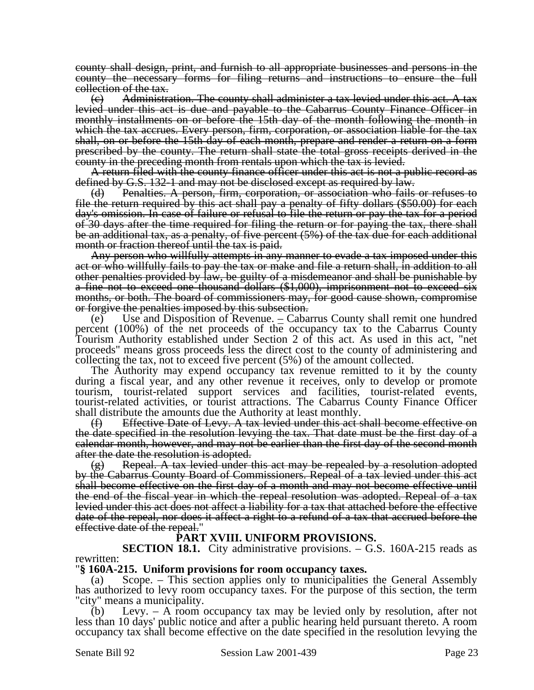county shall design, print, and furnish to all appropriate businesses and persons in the county the necessary forms for filing returns and instructions to ensure the full collection of the tax.

 $\epsilon$ ) Administration. The county shall administer a tax levied under this act. A tax levied under this act is due and payable to the Cabarrus County Finance Officer in monthly installments on or before the 15th day of the month following the month in which the tax accrues. Every person, firm, corporation, or association liable for the tax shall, on or before the 15th day of each month, prepare and render a return on a form prescribed by the county. The return shall state the total gross receipts derived in the county in the preceding month from rentals upon which the tax is levied.

A return filed with the county finance officer under this act is not a public record as defined by G.S. 132-1 and may not be disclosed except as required by law.

(d) Penalties. A person, firm, corporation, or association who fails or refuses to file the return required by this act shall pay a penalty of fifty dollars (\$50.00) for each day's omission. In case of failure or refusal to file the return or pay the tax for a period of 30 days after the time required for filing the return or for paying the tax, there shall be an additional tax, as a penalty, of five percent (5%) of the tax due for each additional month or fraction thereof until the tax is paid.

Any person who willfully attempts in any manner to evade a tax imposed under this act or who willfully fails to pay the tax or make and file a return shall, in addition to all other penalties provided by law, be guilty of a misdemeanor and shall be punishable by a fine not to exceed one thousand dollars (\$1,000), imprisonment not to exceed six months, or both. The board of commissioners may, for good cause shown, compromise or forgive the penalties imposed by this subsection.

(e) Use and Disposition of Revenue.  $\angle$  Cabarrus County shall remit one hundred percent (100%) of the net proceeds of the occupancy tax to the Cabarrus County Tourism Authority established under Section 2 of this act. As used in this act, "net proceeds" means gross proceeds less the direct cost to the county of administering and collecting the tax, not to exceed five percent (5%) of the amount collected.

The Authority may expend occupancy tax revenue remitted to it by the county during a fiscal year, and any other revenue it receives, only to develop or promote tourism, tourist-related support services and facilities, tourist-related events, tourist-related activities, or tourist attractions. The Cabarrus County Finance Officer shall distribute the amounts due the Authority at least monthly.

(f) Effective Date of Levy. A tax levied under this act shall become effective on the date specified in the resolution levying the tax. That date must be the first day of a calendar month, however, and may not be earlier than the first day of the second month after the date the resolution is adopted.

 $(g)$  Repeal. A tax levied under this act may be repealed by a resolution adopted by the Cabarrus County Board of Commissioners. Repeal of a tax levied under this act shall become effective on the first day of a month and may not become effective until the end of the fiscal year in which the repeal resolution was adopted. Repeal of a tax levied under this act does not affect a liability for a tax that attached before the effective date of the repeal, nor does it affect a right to a refund of a tax that accrued before the effective date of the repeal."

## effective date of the repeal." **PART XVIII. UNIFORM PROVISIONS.**

**SECTION 18.1.** City administrative provisions. – G.S. 160A-215 reads as rewritten:

## "**§ 160A-215. Uniform provisions for room occupancy taxes.**

(a) Scope. – This section applies only to municipalities the General Assembly has authorized to levy room occupancy taxes. For the purpose of this section, the term "city" means a municipality.

(b) Levy. – A room occupancy tax may be levied only by resolution, after not less than 10 days' public notice and after a public hearing held pursuant thereto. A room occupancy tax shall become effective on the date specified in the resolution levying the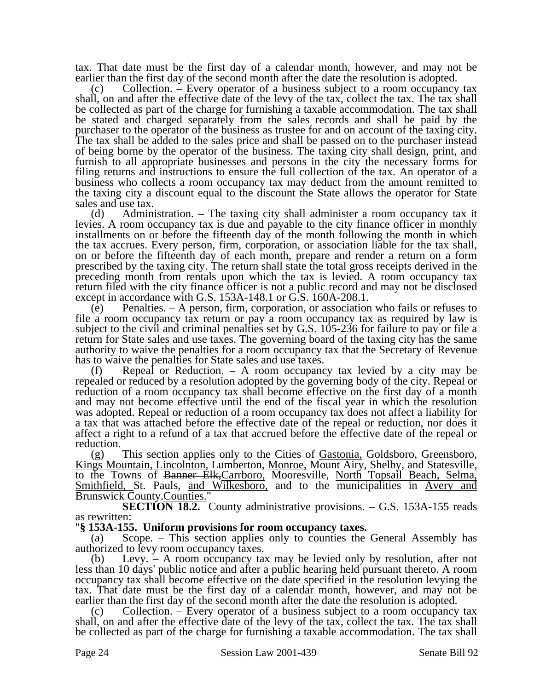tax. That date must be the first day of a calendar month, however, and may not be earlier than the first day of the second month after the date the resolution is adopted.

Collection. – Every operator of a business subject to a room occupancy tax shall, on and after the effective date of the levy of the tax, collect the tax. The tax shall be collected as part of the charge for furnishing a taxable accommodation. The tax shall be stated and charged separately from the sales records and shall be paid by the purchaser to the operator of the business as trustee for and on account of the taxing city. The tax shall be added to the sales price and shall be passed on to the purchaser instead of being borne by the operator of the business. The taxing city shall design, print, and furnish to all appropriate businesses and persons in the city the necessary forms for filing returns and instructions to ensure the full collection of the tax. An operator of a business who collects a room occupancy tax may deduct from the amount remitted to the taxing city a discount equal to the discount the State allows the operator for State sales and use tax.

(d) Administration. – The taxing city shall administer a room occupancy tax it levies. A room occupancy tax is due and payable to the city finance officer in monthly installments on or before the fifteenth day of the month following the month in which the tax accrues. Every person, firm, corporation, or association liable for the tax shall, on or before the fifteenth day of each month, prepare and render a return on a form prescribed by the taxing city. The return shall state the total gross receipts derived in the preceding month from rentals upon which the tax is levied. A room occupancy tax return filed with the city finance officer is not a public record and may not be disclosed except in accordance with G.S. 153A-148.1 or G.S. 160A-208.1.

(e) Penalties. – A person, firm, corporation, or association who fails or refuses to file a room occupancy tax return or pay a room occupancy tax as required by law is subject to the civil and criminal penalties set by G.S. 105-236 for failure to pay or file a return for State sales and use taxes. The governing board of the taxing city has the same authority to waive the penalties for a room occupancy tax that the Secretary of Revenue has to waive the penalties for State sales and use taxes.

(f) Repeal or Reduction. – A room occupancy tax levied by a city may be repealed or reduced by a resolution adopted by the governing body of the city. Repeal or reduction of a room occupancy tax shall become effective on the first day of a month and may not become effective until the end of the fiscal year in which the resolution was adopted. Repeal or reduction of a room occupancy tax does not affect a liability for a tax that was attached before the effective date of the repeal or reduction, nor does it affect a right to a refund of a tax that accrued before the effective date of the repeal or reduction.

(g) This section applies only to the Cities of Gastonia, Goldsboro, Greensboro, Kings Mountain, Lincolnton, Lumberton, Monroe, Mount Airy, Shelby, and Statesville, to the Towns of Banner Elk,Carrboro, Mooresville, North Topsail Beach, Selma, Smithfield, St. Pauls, and Wilkesboro, and to the municipalities in Avery and Brunswick County. Counties.'

**SECTION 18.2.** County administrative provisions. – G.S. 153A-155 reads as rewritten:

#### "**§ 153A-155. Uniform provisions for room occupancy taxes.**

(a) Scope. – This section applies only to counties the General Assembly has authorized to levy room occupancy taxes.

(b) Levy. – A room occupancy tax may be levied only by resolution, after not less than 10 days' public notice and after a public hearing held pursuant thereto. A room occupancy tax shall become effective on the date specified in the resolution levying the tax. That date must be the first day of a calendar month, however, and may not be earlier than the first day of the second month after the date the resolution is adopted.

(c) Collection. – Every operator of a business subject to a room occupancy tax shall, on and after the effective date of the levy of the tax, collect the tax. The tax shall be collected as part of the charge for furnishing a taxable accommodation. The tax shall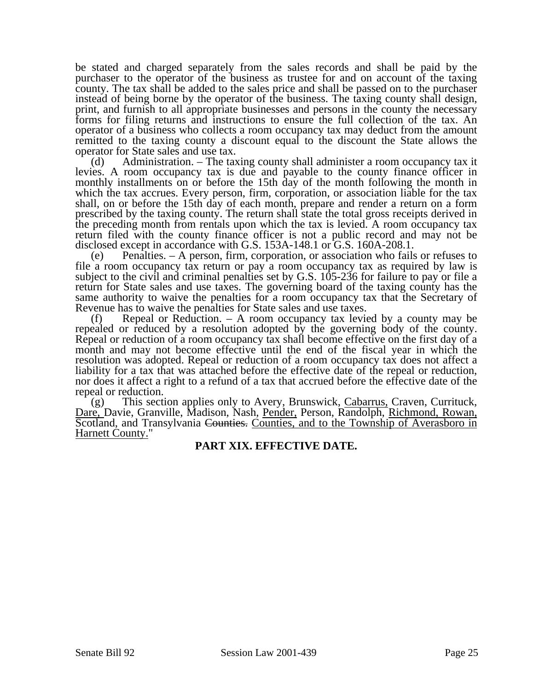be stated and charged separately from the sales records and shall be paid by the purchaser to the operator of the business as trustee for and on account of the taxing county. The tax shall be added to the sales price and shall be passed on to the purchaser instead of being borne by the operator of the business. The taxing county shall design, print, and furnish to all appropriate businesses and persons in the county the necessary forms for filing returns and instructions to ensure the full collection of the tax. An operator of a business who collects a room occupancy tax may deduct from the amount remitted to the taxing county a discount equal to the discount the State allows the operator for State sales and use tax.

(d) Administration. – The taxing county shall administer a room occupancy tax it levies. A room occupancy tax is due and payable to the county finance officer in monthly installments on or before the 15th day of the month following the month in which the tax accrues. Every person, firm, corporation, or association liable for the tax shall, on or before the 15th day of each month, prepare and render a return on a form prescribed by the taxing county. The return shall state the total gross receipts derived in the preceding month from rentals upon which the tax is levied. A room occupancy tax return filed with the county finance officer is not a public record and may not be disclosed except in accordance with G.S. 153A-148.1 or G.S. 160A-208.1.

(e) Penalties. – A person, firm, corporation, or association who fails or refuses to file a room occupancy tax return or pay a room occupancy tax as required by law is subject to the civil and criminal penalties set by G.S. 105-236 for failure to pay or file a return for State sales and use taxes. The governing board of the taxing county has the same authority to waive the penalties for a room occupancy tax that the Secretary of Revenue has to waive the penalties for State sales and use taxes.

(f) Repeal or Reduction. – A room occupancy tax levied by a county may be repealed or reduced by a resolution adopted by the governing body of the county. Repeal or reduction of a room occupancy tax shall become effective on the first day of a month and may not become effective until the end of the fiscal year in which the resolution was adopted. Repeal or reduction of a room occupancy tax does not affect a liability for a tax that was attached before the effective date of the repeal or reduction, nor does it affect a right to a refund of a tax that accrued before the effective date of the repeal or reduction.

(g) This section applies only to Avery, Brunswick, Cabarrus, Craven, Currituck, Dare, Davie, Granville, Madison, Nash, Pender, Person, Randolph, Richmond, Rowan, Scotland, and Transylvania Counties. Counties, and to the Township of Averasboro in Harnett County."

## **PART XIX. EFFECTIVE DATE.**